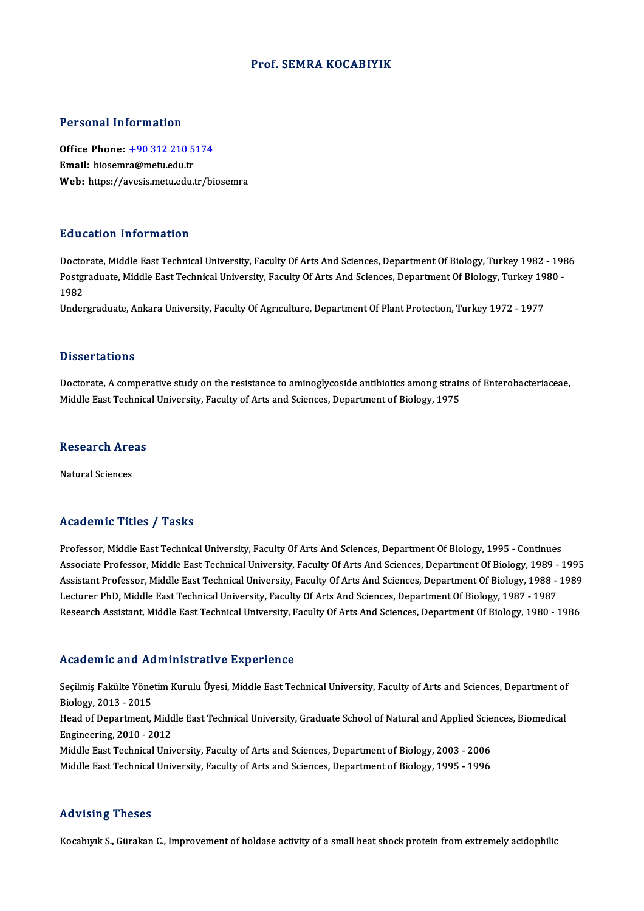#### Prof. SEMRA KOCABIYIK

#### Personal Information

Personal Information<br>Office Phone: <u>+90 312 210 5174</u><br>Email: biosemre@metu.edu.tr Procedure and Charles on<br>Office Phone: <u>+90 312 210 5</u><br>Email: biosem[ra@metu.edu.tr](tel:+90 312 210 5174) Email: biosemra@metu.edu.tr<br>Web: https://avesis.metu.edu.tr/biosemra

#### Education Information

Doctorate, Middle East Technical University, Faculty Of Arts And Sciences, Department Of Biology, Turkey 1982 - 1986 Pu d'ederen Timer inderen<br>Doctorate, Middle East Technical University, Faculty Of Arts And Sciences, Department Of Biology, Turkey 1982 - 198<br>Postgraduate, Middle East Technical University, Faculty Of Arts And Sciences, De Docto<br>Postgi<br>1982<br>Under Postgraduate, Middle East Technical University, Faculty Of Arts And Sciences, Department Of Biology, Turkey 19<br>1982<br>Undergraduate, Ankara University, Faculty Of Agrıculture, Department Of Plant Protection, Turkey 1972 - 19

Undergraduate, Ankara University, Faculty Of Agriculture, Department Of Plant Protection, Turkey 1972 - 1977<br>Dissertations

Dissertations<br>Doctorate, A comperative study on the resistance to aminoglycoside antibiotics among strains of Enterobacteriaceae,<br>Middle Feet Technical University, Fesulty of Arts and Sciences, Department of Biology, 1975 Disser tatrons<br>Doctorate, A comperative study on the resistance to aminoglycoside antibiotics among strair<br>Middle East Technical University, Faculty of Arts and Sciences, Department of Biology, 1975

# Middle Bast Technica<br>Research Areas <mark>Research Are</mark><br>Natural Sciences

# Natural Sciences<br>Academic Titles / Tasks

Academic Titles / Tasks<br>Professor, Middle East Technical University, Faculty Of Arts And Sciences, Department Of Biology, 1995 - Continues<br>Associate Professor, Middle Fost Technical University, Faculty Of Arts And Sciences Associate Article 7, Austie<br>Professor, Middle East Technical University, Faculty Of Arts And Sciences, Department Of Biology, 1995 - Continues<br>Associate Professor, Middle East Technical University, Faculty Of Arts And Scie Professor, Middle East Technical University, Faculty Of Arts And Sciences, Department Of Biology, 1995 - Continues<br>Associate Professor, Middle East Technical University, Faculty Of Arts And Sciences, Department Of Biology, Associate Professor, Middle East Technical University, Faculty Of Arts And Sciences, Department Of Biology, 1989<br>Assistant Professor, Middle East Technical University, Faculty Of Arts And Sciences, Department Of Biology, 1 Assistant Professor, Middle East Technical University, Faculty Of Arts And Sciences, Department Of Biology, 1988 - 1989<br>Lecturer PhD, Middle East Technical University, Faculty Of Arts And Sciences, Department Of Biology, 1 Research Assistant, Middle East Technical University, Faculty Of Arts And Sciences, Department Of Biology, 1980 - 1986<br>Academic and Administrative Experience

Academic and Administrative Experience<br>Seçilmiş Fakülte Yönetim Kurulu Üyesi, Middle East Technical University, Faculty of Arts and Sciences, Department of Biology,2013 -2015 Seçilmiş Fakülte Yönetim Kurulu Üyesi, Middle East Technical University, Faculty of Arts and Sciences, Department of<br>Biology, 2013 - 2015<br>Head of Department, Middle East Technical University, Graduate School of Natural and Head of Department, Middle East Technical University, Graduate School of Natural and Applied Sciences, Biomedical<br>Engineering, 2010 - 2012 Head of Department, Middle East Technical University, Graduate School of Natural and Applied Scie<br>Engineering, 2010 - 2012<br>Middle East Technical University, Faculty of Arts and Sciences, Department of Biology, 2003 - 2006<br> Engineering, 2010 - 2012<br>Middle East Technical University, Faculty of Arts and Sciences, Department of Biology, 2003 - 2006<br>Middle East Technical University, Faculty of Arts and Sciences, Department of Biology, 1995 - 1996 Middle East Technical University, Faculty of Arts and Sciences, Department of Biology, 1995 - 1996<br>Advising Theses

Kocabıyık S., Gürakan C., Improvement of holdase activity of a small heat shock protein from extremely acidophilic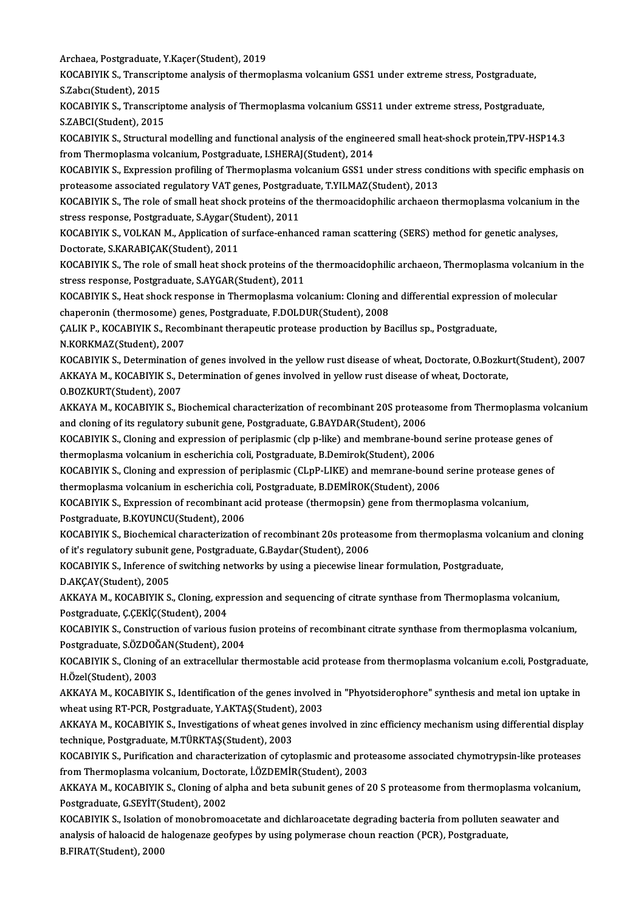Archaea, Postgraduate, Y.Kaçer(Student), 2019<br>POCARIVIK S., Transgriptome anglysia of therme

KOCABIYIK S., Transcriptome analysis of thermoplasma volcanium GSS1 under extreme stress, Postgraduate,<br>S.Zabcı(Student), 2015 Archaea, Postgraduate,<br>KOCABIYIK S., Transcrip<br>S.Zabcı(Student), 2015<br>KOCABIYIK S., Transcrip KOCABIYIK S., Transcriptome analysis of thermoplasma volcanium GSS1 under extreme stress, Postgraduate,<br>S.Zabcı(Student), 2015<br>KOCABIYIK S., Transcriptome analysis of Thermoplasma volcanium GSS11 under extreme stress, Post

S.Zabcı(Student), 2015<br>KOCABIYIK S., Transcript<br>S.ZABCI(Student), 2015<br>KOCABIYIK S. Structural KOCABIYIK S., Transcriptome analysis of Thermoplasma volcanium GSS11 under extreme stress, Postgraduate,<br>S.ZABCI(Student), 2015<br>KOCABIYIK S., Structural modelling and functional analysis of the engineered small heat-shock

S.ZABCI(Student), 2015<br>KOCABIYIK S., Structural modelling and functional analysis of the engineered small heat-shock protein,TPV-HSP14.3<br>from Thermoplasma volcanium, Postgraduate, I.SHERAJ(Student), 2014

KOCABIYIK S., Expression profiling of Thermoplasma volcanium GSS1 under stress conditions with specific emphasis on from Thermoplasma volcanium, Postgraduate, I.SHERAJ(Student), 2014<br>KOCABIYIK S., Expression profiling of Thermoplasma volcanium GSS1 under stress con<br>proteasome associated regulatory VAT genes, Postgraduate, T.YILMAZ(Stude KOCABIYIK S., Expression profiling of Thermoplasma volcanium GSS1 under stress conditions with specific emphasis on<br>proteasome associated regulatory VAT genes, Postgraduate, T.YILMAZ(Student), 2013<br>KOCABIYIK S., The role o

proteasome associated regulatory VAT genes, Postgrad<br>KOCABIYIK S., The role of small heat shock proteins of t<br>stress response, Postgraduate, S.Aygar(Student), 2011<br>VOCABIYIK S. VOLKAN M. Application of surface ophar KOCABIYIK S., The role of small heat shock proteins of the thermoacidophilic archaeon thermoplasma volcanium in<br>stress response, Postgraduate, S.Aygar(Student), 2011<br>KOCABIYIK S., VOLKAN M., Application of surface-enhanced

stress response, Postgraduate, S.Aygar(Student), 2011<br>KOCABIYIK S., VOLKAN M., Application of surface-enhanced raman scattering (SERS) method for genetic analyses,<br>Doctorate, S.KARABIÇAK(Student), 2011 KOCABIYIK S., VOLKAN M., Application of surface-enhanced raman scattering (SERS) method for genetic analyses,<br>Doctorate, S.KARABIÇAK(Student), 2011<br>KOCABIYIK S., The role of small heat shock proteins of the thermoacidophil

Doctorate, S.KARABIÇAK(Student), 2011<br>KOCABIYIK S., The role of small heat shock proteins of th<br>stress response, Postgraduate, S.AYGAR(Student), 2011<br>KOCABIYIK S. Heat shock response in Thermanlesma ve KOCABIYIK S., The role of small heat shock proteins of the thermoacidophilic archaeon, Thermoplasma volcanium<br>stress response, Postgraduate, S.AYGAR(Student), 2011<br>KOCABIYIK S., Heat shock response in Thermoplasma volcaniu

stress response, Postgraduate, S.AYGAR(Student), 2011<br>KOCABIYIK S., Heat shock response in Thermoplasma volcanium: Cloning an<br>chaperonin (thermosome) genes, Postgraduate, F.DOLDUR(Student), 2008<br>CALIK B. KOCABIVIK S. Becom KOCABIYIK S., Heat shock response in Thermoplasma volcanium: Cloning and differential expression<br>chaperonin (thermosome) genes, Postgraduate, F.DOLDUR(Student), 2008<br>ÇALIK P., KOCABIYIK S., Recombinant therapeutic protease

chaperonin (thermosome) genes, Postgraduate, F.DOLDUR(Student), 2008<br>ÇALIK P., KOCABIYIK S., Recombinant therapeutic protease production by Bacillus sp., Postgraduate,<br>N.KORKMAZ(Student), 2007

KOCABIYIK S., Determination of genes involved in the yellow rust disease of wheat, Doctorate, O.Bozkurt(Student), 2007 N.KORKMAZ(Student), 2007<br>KOCABIYIK S., Determination of genes involved in the yellow rust disease of wheat, Doctorate, O.Bozku<br>AKKAYA M., KOCABIYIK S., Determination of genes involved in yellow rust disease of wheat, Docto KOCABIYIK S., Determination<br>AKKAYA M., KOCABIYIK S., D<br>O.BOZKURT(Student), 2007<br>AKKAYA M., KOCABIVIK S. B

AKKAYA M., KOCABIYIK S., Determination of genes involved in yellow rust disease of wheat, Doctorate,<br>O.BOZKURT(Student), 2007<br>AKKAYA M., KOCABIYIK S., Biochemical characterization of recombinant 20S proteasome from Thermop 0.BOZKURT(Student), 2007<br>AKKAYA M., KOCABIYIK S., Biochemical characterization of recombinant 20S proteas<br>and cloning of its regulatory subunit gene, Postgraduate, G.BAYDAR(Student), 2006<br>KOCARIVIK S. Cloning and expressio AKKAYA M., KOCABIYIK S., Biochemical characterization of recombinant 20S proteasome from Thermoplasma vocand cloning of its regulatory subunit gene, Postgraduate, G.BAYDAR(Student), 2006<br>KOCABIYIK S., Cloning and expressio

and cloning of its regulatory subunit gene, Postgraduate, G.BAYDAR(Student), 2006<br>KOCABIYIK S., Cloning and expression of periplasmic (clp p-like) and membrane-boune<br>thermoplasma volcanium in escherichia coli, Postgraduate KOCABIYIK S., Cloning and expression of periplasmic (clp p-like) and membrane-bound serine protease genes of<br>thermoplasma volcanium in escherichia coli, Postgraduate, B.Demirok(Student), 2006<br>KOCABIYIK S., Cloning and expr

thermoplasma volcanium in escherichia coli, Postgraduate, B.Demirok(Student), 2006<br>KOCABIYIK S., Cloning and expression of periplasmic (CLpP-LIKE) and memrane-bound<br>thermoplasma volcanium in escherichia coli, Postgraduate, KOCABIYIK S., Cloning and expression of periplasmic (CLpP-LIKE) and memrane-bound serine protease genes of<br>thermoplasma volcanium in escherichia coli, Postgraduate, B.DEMİROK(Student), 2006<br>KOCABIYIK S., Expression of reco

thermoplasma volcanium in escherichia col<br>KOCABIYIK S., Expression of recombinant a<br>Postgraduate, B.KOYUNCU(Student), 2006<br>KOCABIYIK S. Biochamical characterization KOCABIYIK S., Expression of recombinant acid protease (thermopsin) gene from thermoplasma volcanium,<br>Postgraduate, B.KOYUNCU(Student), 2006<br>KOCABIYIK S., Biochemical characterization of recombinant 20s proteasome from ther

Postgraduate, B.KOYUNCU(Student), 2006<br>KOCABIYIK S., Biochemical characterization of recombinant 20s proteas<br>of it's regulatory subunit gene, Postgraduate, G.Baydar(Student), 2006<br>KOCABIYIK S. Inforence of quitabing notwor KOCABIYIK S., Biochemical characterization of recombinant 20s proteasome from thermoplasma volcation<br>of it's regulatory subunit gene, Postgraduate, G.Baydar(Student), 2006<br>KOCABIYIK S., Inference of switching networks by u of it's regulatory subunit<br>KOCABIYIK S., Inference o<br>D.AKÇAY(Student), 2005<br>AKKAYA M. KOCABIYIK S

KOCABIYIK S., Inference of switching networks by using a piecewise linear formulation, Postgraduate,<br>D.AKÇAY(Student), 2005<br>AKKAYA M., KOCABIYIK S., Cloning, expression and sequencing of citrate synthase from Thermoplasma D.AKÇAY(Student), 2005<br>AKKAYA M., KOCABIYIK S., Cloning, exp<br>Postgraduate, Ç.ÇEKİÇ(Student), 2004<br>KOCABIYIK S. Construction of various Postgraduate, Ç.ÇEKİÇ(Student), 2004<br>KOCABIYIK S., Construction of various fusion proteins of recombinant citrate synthase from thermoplasma volcanium,

Postgraduate, Ç.ÇEKİÇ(Student), 2004<br>KOCABIYIK S., Construction of various fusic<br>Postgraduate, S.ÖZDOĞAN(Student), 2004<br>KOCABIYIK S. Claning of an aytrasellular th KOCABIYIK S., Construction of various fusion proteins of recombinant citrate synthase from thermoplasma volcanium,<br>Postgraduate, S.ÖZDOĞAN(Student), 2004<br>KOCABIYIK S., Cloning of an extracellular thermostable acid protease

Postgraduate, S.ÖZDOĞ<br>KOCABIYIK S., Cloning<br>H.Özel(Student), 2003<br>AKKAVA M. KOCABIYIL KOCABIYIK S., Cloning of an extracellular thermostable acid protease from thermoplasma volcanium e.coli, Postgraduate<br>H.Özel(Student), 2003<br>AKKAYA M., KOCABIYIK S., Identification of the genes involved in "Phyotsiderophore

H.Özel(Student), 2003<br>AKKAYA M., KOCABIYIK S., Identification of the genes involve<br>wheat using RT-PCR, Postgraduate, Y.AKTAŞ(Student), 2003<br>AKKAYA M. KOCAPIYIK S. Investigations of wheat genes inve AKKAYA M., KOCABIYIK S., Identification of the genes involved in "Phyotsiderophore" synthesis and metal ion uptake in<br>wheat using RT-PCR, Postgraduate, Y.AKTAŞ(Student), 2003<br>AKKAYA M., KOCABIYIK S., Investigations of whea

wheat using RT-PCR, Postgraduate, Y.AKTAŞ(Student), 2003<br>AKKAYA M., KOCABIYIK S., Investigations of wheat genes involved in zinc efficiency mechanism using differential display<br>technique, Postgraduate, M.TÜRKTAS(Student), AKKAYA M., KOCABIYIK S., Investigations of wheat genes involved in zinc efficiency mechanism using differential display<br>technique, Postgraduate, M.TÜRKTAŞ(Student), 2003<br>KOCABIYIK S., Purification and characterization of c

fechnique, Postgraduate, M.TÜRKTAŞ(Student), 2003<br>KOCABIYIK S., Purification and characterization of cytoplasmic and prot<br>from Thermoplasma volcanium, Doctorate, İ.ÖZDEMİR(Student), 2003<br>AKKAYA M. KOCABIYIK S. Cloning of a KOCABIYIK S., Purification and characterization of cytoplasmic and proteasome associated chymotrypsin-like proteases<br>from Thermoplasma volcanium, Doctorate, İ.ÖZDEMİR(Student), 2003<br>AKKAYA M., KOCABIYIK S., Cloning of alph

from Thermoplasma volcanium, Doctorate, İ.ÖZDEMİR(Student), 2003<br>AKKAYA M., KOCABIYIK S., Cloning of alpha and beta subunit genes of 20 S proteasome from thermoplasma volcan<br>Postgraduate, G.SEYİT(Student), 2002<br>KOCABIYIK S AKKAYA M., KOCABIYIK S., Cloning of alpha and beta subunit genes of 20 S proteasome from thermoplasma volcanium,

Postgraduate, G.SEYİT(Student), 2002<br>KOCABIYIK S., Isolation of monobromoacetate and dichlaroacetate degrading bacteria from polluten se<br>analysis of haloacid de halogenaze geofypes by using polymerase choun reaction (PCR), KOCABIYIK S., Isolation<br>analysis of haloacid de l<br>B.FIRAT(Student), 2000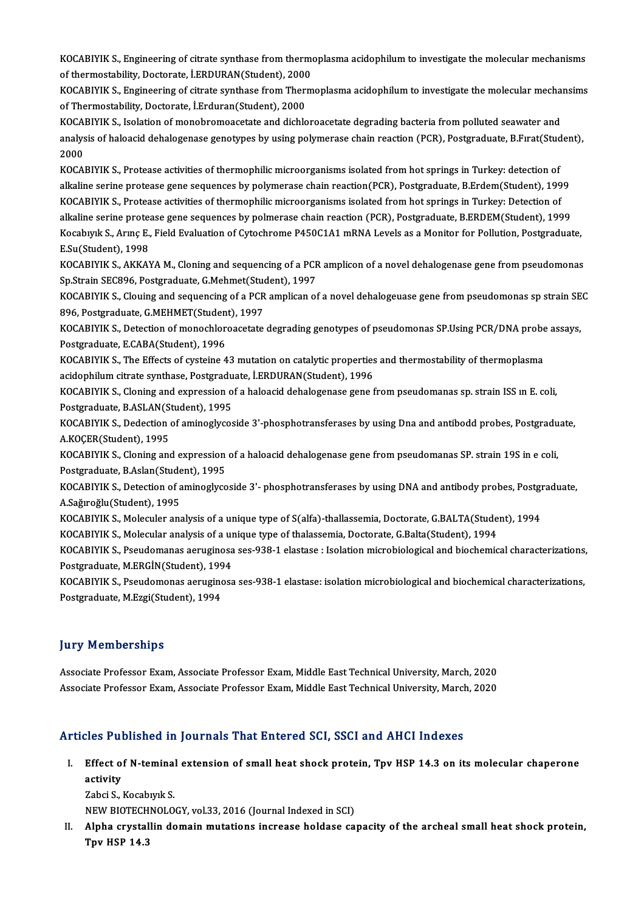KOCABIYIK S., Engineering of citrate synthase from thermoplasma acidophilum to investigate the molecular mechanisms<br>Of thermostability, Destante, LEPDURAN(Student), 2000. KOCABIYIK S., Engineering of citrate synthase from thermo<br>of thermostability, Doctorate, İ.ERDURAN(Student), 2000<br>KOCABIYIK S. Engineering of sitrate synthase from Therm KOCABIYIK S., Engineering of citrate synthase from thermoplasma acidophilum to investigate the molecular mechanisms<br>of thermostability, Doctorate, İ.ERDURAN(Student), 2000<br>KOCABIYIK S., Engineering of citrate synthase from

of thermostability, Doctorate, İ.ERDURAN(Student), 2000<br>KOCABIYIK S., Engineering of citrate synthase from Thermoplasma acidophilum to investigate the molecular mechansims<br>of Thermostability, Doctorate, İ.Erduran(Student), KOCABIYIK S., Engineering of citrate synthase from Thermoplasma acidophilum to investigate the molecular mecha<br>of Thermostability, Doctorate, İ.Erduran(Student), 2000<br>KOCABIYIK S., Isolation of monobromoacetate and dichlor

of Thermostability, Doctorate, İ.Erduran(Student), 2000<br>KOCABIYIK S., Isolation of monobromoacetate and dichloroacetate degrading bacteria from polluted seawater and<br>analysis of haloacid dehalogenase genotypes by using pol KOCA<br>analys<br>2000<br>KOCA analysis of haloacid dehalogenase genotypes by using polymerase chain reaction (PCR), Postgraduate, B.Fırat(Stud<br>2000<br>KOCABIYIK S., Protease activities of thermophilic microorganisms isolated from hot springs in Turkey: de

2000<br>KOCABIYIK S., Protease activities of thermophilic microorganisms isolated from hot springs in Turkey: detection of<br>alkaline serine protease gene sequences by polymerase chain reaction(PCR), Postgraduate, B.Erdem(Stude KOCABIYIK S., Protease activities of thermophilic microorganisms isolated from hot springs in Turkey: detection of<br>alkaline serine protease gene sequences by polymerase chain reaction(PCR), Postgraduate, B.Erdem(Student), alkaline serine protease gene sequences by polymerase chain reaction(PCR), Postgraduate, B.Erdem(Student), 1999<br>KOCABIYIK S., Protease activities of thermophilic microorganisms isolated from hot springs in Turkey: Detectio KOCABIYIK S., Protease activities of thermophilic microorganisms isolated from hot springs in Turkey: Detection of<br>alkaline serine protease gene sequences by polmerase chain reaction (PCR), Postgraduate, B.ERDEM(Student), alkaline serine protease gene sequences by polmerase chain reaction (PCR), Postgraduate, B.ERDEM(Student), 1999<br>Kocabıyık S., Arınç E., Field Evaluation of Cytochrome P450C1A1 mRNA Levels as a Monitor for Pollution, Postgr Kocabıyık S., Arınç E., Field Evaluation of Cytochrome P450C1A1 mRNA Levels as a Monitor for Pollution, Postgraduate,<br>E.Su(Student), 1998<br>KOCABIYIK S., AKKAYA M., Cloning and sequencing of a PCR amplicon of a novel dehalog

E.Su(Student), 1998<br>KOCABIYIK S., AKKAYA M., Cloning and sequencing of a PCF<br>Sp.Strain SEC896, Postgraduate, G.Mehmet(Student), 1997<br>KOCABIYIK S. Clouing and sequencing of a PCP amplican of KOCABIYIK S., AKKAYA M., Cloning and sequencing of a PCR amplicon of a novel dehalogenase gene from pseudomonas<br>Sp.Strain SEC896, Postgraduate, G.Mehmet(Student), 1997<br>KOCABIYIK S., Clouing and sequencing of a PCR amplican

Sp.Strain SEC896, Postgraduate, G.Mehmet(Student), 1997<br>KOCABIYIK S., Clouing and sequencing of a PCR amplican of a novel dehalogeuase gene from pseudomonas sp strain SE<br>896, Postgraduate, G.MEHMET(Student), 1997<br>KOCABIYIK KOCABIYIK S., Clouing and sequencing of a PCR amplican of a novel dehalogeuase gene from pseudomonas sp strain SEC<br>896, Postgraduate, G.MEHMET(Student), 1997<br>KOCABIYIK S., Detection of monochloroacetate degrading genotypes 896, Postgraduate, G.MEHMET(Student), 1997

KOCABIYIK S., Detection of monochloroacetate degrading genotypes of pseudomonas SP.Using PCR/DNA probe<br>Postgraduate, E.CABA(Student), 1996<br>KOCABIYIK S., The Effects of cysteine 43 mutation on catalytic properties and therm

Postgraduate, E.CABA(Student), 1996<br>KOCABIYIK S., The Effects of cysteine 43 mutation on catalytic properties<br>acidophilum citrate synthase, Postgraduate, İ.ERDURAN(Student), 1996<br>KOCABIYIK S. Cloning and aynressian of a ba KOCABIYIK S., The Effects of cysteine 43 mutation on catalytic properties and thermostability of thermoplasma<br>acidophilum citrate synthase, Postgraduate, İ.ERDURAN(Student), 1996<br>KOCABIYIK S., Cloning and expression of a h

acidophilum citrate synthase, Postgraduate, İ.ERDURAN(Student), 1996<br>KOCABIYIK S., Cloning and expression of a haloacid dehalogenase gene from pseudomanas sp. strain ISS ın E. coli,<br>Postgraduate, B.ASLAN(Student), 1995 KOCABIYIK S., Cloning and expression of a haloacid dehalogenase gene from pseudomanas sp. strain ISS in E. coli,<br>Postgraduate, B.ASLAN(Student), 1995<br>KOCABIYIK S., Dedection of aminoglycoside 3'-phosphotransferases by usin

Postgraduate, B.ASLAN(S<br>KOCABIYIK S., Dedection<br>A.KOÇER(Student), 1995<br>KOCABIYIK S. Claning and KOCABIYIK S., Dedection of aminoglycoside 3'-phosphotransferases by using Dna and antibodd probes, Postgradu<br>A.KOÇER(Student), 1995<br>KOCABIYIK S., Cloning and expression of a haloacid dehalogenase gene from pseudomanas SP.

A.KOÇER(Student), 1995<br>KOCABIYIK S., Cloning and expression of a haloacid dehalogenase gene from pseudomanas SP. strain 19S in e coli,<br>Postgraduate, B.Aslan(Student), 1995 KOCABIYIK S., Cloning and expression of a haloacid dehalogenase gene from pseudomanas SP. strain 19S in e coli,<br>Postgraduate, B.Aslan(Student), 1995<br>KOCABIYIK S., Detection of aminoglycoside 3'- phosphotransferases by usin

Postgraduate, B.Aslan(Stude<br>KOCABIYIK S., Detection of a<br>A.Sağıroğlu(Student), 1995<br>KOCABIYIK S. Malagular ana KOCABIYIK S., Detection of aminoglycoside 3'- phosphotransferases by using DNA and antibody probes, Postgr<br>A.Sağıroğlu(Student), 1995<br>KOCABIYIK S., Moleculer analysis of a unique type of S(alfa)-thallassemia, Doctorate, G.

A.Sağıroğlu(Student), 1995<br>KOCABIYIK S., Moleculer analysis of a unique type of S(alfa)-thallassemia, Doctorate, G.BALTA(Student), 1994<br>KOCABIYIK S., Molecular analysis of a unique type of thalassemia, Doctorate, G.Balta(S

KOCABIYIK S., Moleculer analysis of a unique type of S(alfa)-thallassemia, Doctorate, G.BALTA(Student), 1994<br>KOCABIYIK S., Molecular analysis of a unique type of thalassemia, Doctorate, G.Balta(Student), 1994<br>KOCABIYIK S., KOCABIYIK S., Molecular analysis of a ur<br>KOCABIYIK S., Pseudomanas aeruginosa<br>Postgraduate, M.ERGİN(Student), 1994<br>KOCABIYIK S. Beaudomanas aeruginosa KOCABIYIK S., Pseudomanas aeruginosa ses-938-1 elastase : Isolation microbiological and biochemical characterizations<br>Postgraduate, M.ERGİN(Student), 1994<br>KOCABIYIK S., Pseudomonas aeruginosa ses-938-1 elastase: isolation

Postgraduate, M.ERGİN(Student), 1994<br>KOCABIYIK S., Pseudomonas aeruginosa ses-938-1 elastase: isolation microbiological and biochemical characterizations,<br>Postgraduate, M.Ezgi(Student), 1994

#### **Jury Memberships**

Associate Professor Exam, Associate Professor Exam, Middle East Technical University, March, 2020 Associate Professor Exam, Associate Professor Exam, Middle East Technical University, March, 2020

#### Articles Published in Journals That Entered SCI, SSCI and AHCI Indexes

I. Effect of N-teminal extension of smal heat shock protein, Tpv HSP 14.3 on itsmolecular chaperone  $E$ ffect of<br>activity<br> $E$ chai S Effect of N-teminal<br>activity<br>Zabci S., Kocabıyık S.<br>NEW PIOTECHNOLO

activity<br>Zabci S., Kocabıyık S.<br>NEW BIOTECHNOLOGY, vol.33, 2016 (Journal Indexed in SCI)<br>Alpha exystallin domain mutations insusess haldasa sa

Zabci S., Kocabıyık S.<br>NEW BIOTECHNOLOGY, vol.33, 2016 (Journal Indexed in SCI)<br>II. Alpha crystallin domain mutations increase holdase capacity of the archeal small heat shock protein,<br>Tpv HSP 14.3 NEW BIOTECH<br>Alpha crystal<br>Tpv HSP 14.3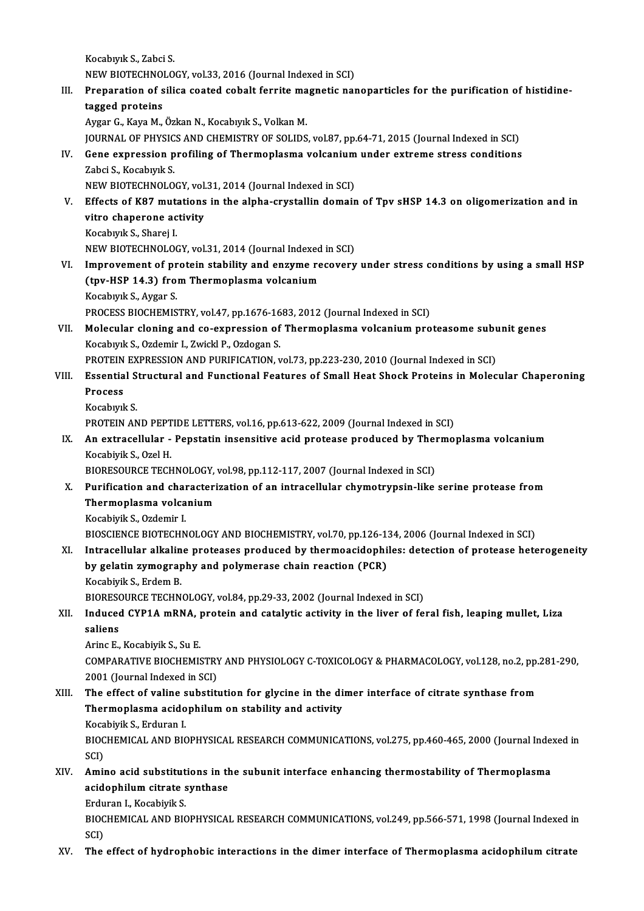KocabıyıkS.,ZabciS. Kocabıyık S., Zabci S.<br>NEW BIOTECHNOLOGY, vol.33, 2016 (Journal Indexed in SCI)<br>Preperation of silise seeted sebelt ferrite mesnetis per

III. Preparation of silica coated cobalt ferrite magnetic nanoparticles for the purification of histidine-<br>tagged proteins NEW BIOTECHNO<br>Preparation of s<br>tagged proteins<br>Avgan C. Kave M

Aygar G., Kaya M., Özkan N., Kocabıyık S., Volkan M.

JOURNAL OF PHYSICS AND CHEMISTRY OF SOLIDS, vol.87, pp.64-71, 2015 (Journal Indexed in SCI)

## Aygar G., Kaya M., Özkan N., Kocabıyık S., Volkan M.<br>JOURNAL OF PHYSICS AND CHEMISTRY OF SOLIDS, vol.87, pp.64-71, 2015 (Journal Indexed in SCI)<br>IV. Gene expression profiling of Thermoplasma volcanium under extreme stress **JOURNAL OF PHYSIC<br>Gene expression p<br>Zabci S., Kocabıyık S.<br>NEW PIOTECHNOLO** Gene expression profiling of Thermoplasma volcanium<br>Zabci S., Kocabıyık S.<br>NEW BIOTECHNOLOGY, vol.31, 2014 (Journal Indexed in SCI)<br>Effects of K97 mutations in the alpha exustallin domain

Zabci S., Kocabıyık S.<br>NEW BIOTECHNOLOGY, vol.31, 2014 (Journal Indexed in SCI)<br>V. Effects of K87 mutations in the alpha-crystallin domain of Tpv sHSP 14.3 on oligomerization and in<br>vitro chanorone activity NEW BIOTECHNOLOGY, vol.<br>Effects of K87 mutations<br>vitro chaperone activity<br>Kosabuul: S. Shanai I Effects of K87 muta<br>vitro chaperone ac<br>Kocabıyık S., Sharej I.<br>NEW PIOTECHNOLOG vitro chaperone activity<br>Kocabıyık S., Sharej I.<br>NEW BIOTECHNOLOGY, vol.31, 2014 (Journal Indexed in SCI)

Kocabıyık S., Sharej I.<br>NEW BIOTECHNOLOGY, vol.31, 2014 (Journal Indexed in SCI)<br>VI. Improvement of protein stability and enzyme recovery under stress conditions by using a small HSP<br>(thy USP 14.3) from Thermonlesma volgan NEW BIOTECHNOLOGY, vol.31, 2014 (Journal Indexed<br>Improvement of protein stability and enzyme re<br>(tpv-HSP 14.3) from Thermoplasma volcanium<br>Kosphyuk S. Avgar S Improvement of pr<br>(tpv-HSP 14.3) fro:<br>Kocabıyık S., Aygar S.<br>PROCESS PIOCHEMIS (tpv-HSP 14.3) from Thermoplasma volcanium<br>Kocabıyık S., Aygar S.<br>PROCESS BIOCHEMISTRY, vol.47, pp.1676-1683, 2012 (Journal Indexed in SCI)<br>Melegylar claning and se evrypession of Thermoplasme volcanium nro

Kocabıyık S., Aygar S.<br>PROCESS BIOCHEMISTRY, vol.47, pp.1676-1683, 2012 (Journal Indexed in SCI)<br>VII. Molecular cloning and co-expression of Thermoplasma volcanium proteasome subunit genes<br>Kocabıyık S., Ozdemir I., Zwi PROCESS BIOCHEMISTRY, vol.47, pp.1676-16<br>Molecular cloning and co-expression of<br>Kocabıyık S., Ozdemir I., Zwickl P., Ozdogan S.<br>PROTEIN EXPRESSION AND BURIEICATION x Molecular cloning and co-expression of Thermoplasma volcanium proteasome sublements of the Moreline Correct Se<br>PROTEIN EXPRESSION AND PURIFICATION, vol.73, pp.223-230, 2010 (Journal Indexed in SCI)<br>Fecential Structural and

### Kocabıyık S., Ozdemir I., Zwickl P., Ozdogan S.<br>PROTEIN EXPRESSION AND PURIFICATION, vol.73, pp.223-230, 2010 (Journal Indexed in SCI)<br>VIII. Essential Structural and Functional Features of Small Heat Shock Proteins in PROTEIN<br>Essentia<br>Process Essential S<br>Process<br>Kocabıyık S.<br>PROTEIN AN Process<br>Kocabıyık S.<br>PROTEIN AND PEPTIDE LETTERS, vol.16, pp.613-622, 2009 (Journal Indexed in SCI)<br>An extracellular - Penstatin insensitive asid protease prodused by Therme

Kocabıyık S.<br>PROTEIN AND PEPTIDE LETTERS, vol.16, pp.613-622, 2009 (Journal Indexed in SCI)<br>IX. An extracellular - Pepstatin insensitive acid protease produced by Thermoplasma volcanium<br>Kosphirik S. Ozel H PROTEIN AND PEPT<br>An extracellular -<br>Kocabiyik S., Ozel H.<br>PIOPESOUPCE TECH An extracellular - Pepstatin insensitive acid protease produced by Then<br>Kocabiyik S., Ozel H.<br>BIORESOURCE TECHNOLOGY, vol.98, pp.112-117, 2007 (Journal Indexed in SCI)<br>Purification and characterization of an intracellular Kocabiyik S., Ozel H.<br>BIORESOURCE TECHNOLOGY, vol.98, pp.112-117, 2007 (Journal Indexed in SCI)<br>X. Purification and characterization of an intracellular chymotrypsin-like serine protease from

## BIORESOURCE TECHNOLOGY,<br>Purification and characteri<br>Thermoplasma volcanium<br>Kosabivik S. Ordamir L Purification and chai<br>Thermoplasma volca<br>Kocabiyik S., Ozdemir I.<br>PIOSCIENCE PIOTECUN

Kocabiyik S., Ozdemir I.<br>BIOSCIENCE BIOTECHNOLOGY AND BIOCHEMISTRY, vol.70, pp.126-134, 2006 (Journal Indexed in SCI)

### Kocabiyik S., Ozdemir I.<br>BIOSCIENCE BIOTECHNOLOGY AND BIOCHEMISTRY, vol.70, pp.126-134, 2006 (Journal Indexed in SCI)<br>XI. Intracellular alkaline proteases produced by thermoacidophiles: detection of protease heterogeneity<br> BIOSCIENCE BIOTECHNOLOGY AND BIOCHEMISTRY, vol.70, pp.126-1:<br>Intracellular alkaline proteases produced by thermoacidophi<br>by gelatin zymography and polymerase chain reaction (PCR)<br>Kosphirik S. Endom P Intracellular alkalin<br>by gelatin zymograp<br>Kocabiyik S., Erdem B.<br>PIOPESOUPCE TECHN by gelatin zymography and polymerase chain reaction (PCR)<br>Kocabiyik S., Erdem B.<br>BIORESOURCE TECHNOLOGY, vol.84, pp.29-33, 2002 (Journal Indexed in SCI)<br>Indused CYR1A mBNA, pretain and satelytic astivity in the liver of fo

## Kocabiyik S., Erdem B.<br>BIORESOURCE TECHNOLOGY, vol.84, pp.29-33, 2002 (Journal Indexed in SCI)<br>XII. Induced CYP1A mRNA, protein and catalytic activity in the liver of feral fish, leaping mullet, Liza BIORESO<br>Induceo<br>saliens<br>Aring E **Induced CYP1A mRNA, <sub>]</sub><br>saliens<br>Arinc E., Kocabiyik S., Su E.<br>COMBARATIVE PIOCUEMIS**

saliens<br>Arinc E., Kocabiyik S., Su E.<br>COMPARATIVE BIOCHEMISTRY AND PHYSIOLOGY C-TOXICOLOGY & PHARMACOLOGY, vol.128, no.2, pp.281-290,<br>2001 (Jaurnal Indoxed in SCI) Arinc E., Kocabiyik S., Su E.<br>COMPARATIVE BIOCHEMISTRY<br>2001 (Journal Indexed in SCI)<br>The effect of valine substitu COMPARATIVE BIOCHEMISTRY AND PHYSIOLOGY C-TOXICOLOGY & PHARMACOLOGY, vol.128, no.2, pp.<br>2001 (Journal Indexed in SCI)<br>XIII. The effect of valine substitution for glycine in the dimer interface of citrate synthase from<br>Ther

## 2001 (Journal Indexed in SCI)<br>The effect of valine substitution for glycine in the di<br>Thermoplasma acidophilum on stability and activity<br>Kosphirik S. Erduren I The effect of valine s<br>Thermoplasma acido<br>Kocabiyik S., Erduran I.<br>PIOCHEMICAL AND PIC

Kocabiyik S., Erduran I.

Thermoplasma acidophilum on stability and activity<br>Kocabiyik S., Erduran I.<br>BIOCHEMICAL AND BIOPHYSICAL RESEARCH COMMUNICATIONS, vol.275, pp.460-465, 2000 (Journal Indexed in<br>SCI) BIOCHEMICAL AND BIOPHYSICAL RESEARCH COMMUNICATIONS, vol.275, pp.460-465, 2000 (Journal Index SCI)<br>SCI)<br>XIV. Amino acid substitutions in the subunit interface enhancing thermostability of Thermoplasma<br>acidentilum situate s

## SCI)<br>Amino acid substitutions in th<br>acidophilum citrate synthase<br>Erduran L Kosphirik S Amino acid substitut<br>acidophilum citrate s<br>Erduran I., Kocabiyik S.<br>PIOCHEMICAL AND PIC

acidophilum citrate synthase<br>Erduran I., Kocabiyik S.<br>BIOCHEMICAL AND BIOPHYSICAL RESEARCH COMMUNICATIONS, vol.249, pp.566-571, 1998 (Journal Indexed in<br>SCI) Erdu<br>BIOC<br>SCI)<br>The

XV. The effect of hydrophobic interactions in the dimer interface of Thermoplasma acidophilum citrate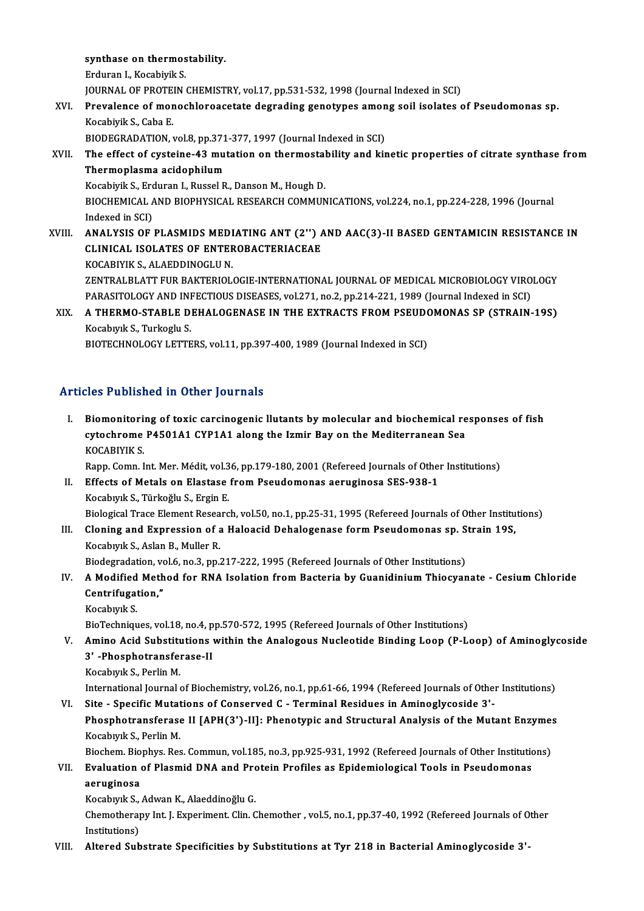synthase on thermostability.<br>Enduron L Kosphirik S

**synthase on thermos<br>Erduran I., Kocabiyik S.<br>JOUPMAL OF PROTEIN** Erduran I., Kocabiyik S.<br>JOURNAL OF PROTEIN CHEMISTRY, vol.17, pp.531-532, 1998 (Journal Indexed in SCI)

## Erduran I., Kocabiyik S.<br>JOURNAL OF PROTEIN CHEMISTRY, vol.17, pp.531-532, 1998 (Journal Indexed in SCI)<br>XVI. Prevalence of monochloroacetate degrading genotypes among soil isolates of Pseudomonas sp.<br>Kasabiyik S. Caba **JOURNAL OF PROTE<br>Prevalence of mor<br>Kocabiyik S., Caba E.<br>PIODECPADATION** Prevalence of monochloroacetate degrading genotypes amon<br>Kocabiyik S., Caba E.<br>BIODEGRADATION, vol.8, pp.371-377, 1997 (Journal Indexed in SCI)<br>The effect of systems 43 mutation on thermostability and kin

## Kocabiyik S., Caba E.<br>BIODEGRADATION, vol.8, pp.371-377, 1997 (Journal Indexed in SCI)<br>XVII. The effect of cysteine-43 mutation on thermostability and kinetic properties of citrate synthase from<br>Thermonlegne esidentilu BIODEGRADATION, vol.8, pp.371<br>The effect of cysteine-43 mu<br>Thermoplasma acidophilum<br>Kosabivik S. Erduran L. Bussel B The effect of cysteine-43 mutation on thermostal<br>Thermoplasma acidophilum<br>Kocabiyik S., Erduran I., Russel R., Danson M., Hough D.<br>PIOCHEMICAL AND PIOPHYSICAL PESEARCH COMMIN

Thermoplasma acidophilum<br>Kocabiyik S., Erduran I., Russel R., Danson M., Hough D.<br>BIOCHEMICAL AND BIOPHYSICAL RESEARCH COMMUNICATIONS, vol.224, no.1, pp.224-228, 1996 (Journal<br>Indexed in SCD. Kocabiyik S., Ero<br>BIOCHEMICAL /<br>Indexed in SCI)<br>ANAI VSIS OF BIOCHEMICAL AND BIOPHYSICAL RESEARCH COMMUNICATIONS, vol.224, no.1, pp.224-228, 1996 (Journal Indexed in SCI)<br>XVIII. ANALYSIS OF PLASMIDS MEDIATING ANT (2'') AND AAC(3)-II BASED GENTAMICIN RESISTANCE IN

## Indexed in SCI)<br>ANALYSIS OF PLASMIDS MEDIATING ANT (2'') *f*<br>CLINICAL ISOLATES OF ENTEROBACTERIACEAE<br>KOCARIVIK S. ALAEDDINOCLU N ANALYSIS OF PLASMIDS MEDI<br>CLINICAL ISOLATES OF ENTER<br>KOCABIYIK S., ALAEDDINOGLU N.<br>ZENTRALELATT EUR BAKTERIOL

CLINICAL ISOLATES OF ENTEROBACTERIACEAE<br>KOCABIYIK S., ALAEDDINOGLU N.<br>ZENTRALBLATT FUR BAKTERIOLOGIE-INTERNATIONAL JOURNAL OF MEDICAL MICROBIOLOGY VIROLOGY<br>RARASITOLOGY AND INFECTIOUS DISEASES, vol.271, no.2, nn.214,221, 1 KOCABIYIK S., ALAEDDINOGLU N.<br>ZENTRALBLATT FUR BAKTERIOLOGIE-INTERNATIONAL JOURNAL OF MEDICAL MICROBIOLOGY VIRO<br>PARASITOLOGY AND INFECTIOUS DISEASES, vol.271, no.2, pp.214-221, 1989 (Journal Indexed in SCI)<br>A THEPMO STABLE PARASITOLOGY AND INFECTIOUS DISEASES, vol.271, no.2, pp.214-221, 1989 (Journal Indexed in SCI)

## XIX. A THERMO-STABLE DEHALOGENASE IN THE EXTRACTS FROM PSEUDOMONAS SP (STRAIN-19S)<br>Kocabıyık S., Turkoglu S.

BIOTECHNOLOGY LETTERS, vol.11, pp.397-400, 1989 (Journal Indexed in SCI)

#### Articles Published in Other Journals

rticles Published in Other Journals<br>I. Biomonitoring of toxic carcinogenic llutants by molecular and biochemical responses of fish<br>systechnome B4501A1 CVB1A1 plans the Ismir Boy on the Mediterranean See cytochromed in other journals<br>Biomonitoring of toxic carcinogenic llutants by molecular and biochemical re<br>cytochrome P4501A1 CYP1A1 along the Izmir Bay on the Mediterranean Sea<br>VOCARIVIK S Biomonitori<br>cytochrome<br>KOCABIYIK S.<br>Pann Comn J cytochrome P4501A1 CYP1A1 along the Izmir Bay on the Mediterranean Sea<br>KOCABIYIK S.<br>Rapp. Comn. Int. Mer. Médit, vol.36, pp.179-180, 2001 (Refereed Journals of Other Institutions)<br>Effects of Metals on Electase from Beaudem

- KOCABIYIK S.<br>Rapp. Comn. Int. Mer. Médit, vol.36, pp.179-180, 2001 (Refereed Journals of Other<br>II. Effects of Metals on Elastase from Pseudomonas aeruginosa SES-938-1<br>Kosabuuk S. Türkeğlu S. Ergin E II. Effects of Metals on Elastase from Pseudomonas aeruginosa SES-938-1<br>Kocabıyık S., Türkoğlu S., Ergin E. Effects of Metals on Elastase from Pseudomonas aeruginosa SES-938-1<br>Kocabıyık S., Türkoğlu S., Ergin E.<br>Biological Trace Element Research, vol.50, no.1, pp.25-31, 1995 (Refereed Journals of Other Institutions)<br>Claning and Kocabıyık S., Türkoğlu S., Ergin E.<br>Biological Trace Element Research, vol.50, no.1, pp.25-31, 1995 (Refereed Journals of Other Institu<br>III. Cloning and Expression of a Haloacid Dehalogenase form Pseudomonas sp. Strain 19S
- Biological Trace Element Resea<br>Cloning and Expression of a<br>Kocabıyık S., Aslan B., Muller R.<br>Piodogradation val 6 no 3 nn . Cloning and Expression of a Haloacid Dehalogenase form Pseudomonas sp. S<br>Kocabiyik S., Aslan B., Muller R.<br>Biodegradation, vol.6, no.3, pp.217-222, 1995 (Refereed Journals of Other Institutions)<br>A Modified Mathod for PNA I

- Kocabıyık S., Aslan B., Muller R.<br>Biodegradation, vol.6, no.3, pp.217-222, 1995 (Refereed Journals of Other Institutions)<br>IV. A Modified Method for RNA Isolation from Bacteria by Guanidinium Thiocyanate Cesium Chlori Biodegradation, vo<br>A Modified Meth<br>Centrifugation,"<br>Kosebyyk S A Modified<br>Centrifugat<br>Kocabıyık S.<br>BioTechniay Centrifugation,"<br>BioTechniques, vol.18, no.4, pp.570-572, 1995 (Refereed Journals of Other Institutions)
	-

### Kocabıyık S.<br>BioTechniques, vol.18, no.4, pp.570-572, 1995 (Refereed Journals of Other Institutions)<br>V. Amino Acid Substitutions within the Analogous Nucleotide Binding Loop (P-Loop) of Aminoglycoside<br>2' Phosphatransforase BioTechniques, vol.18, no.4, p<br>Amino Acid Substitutions<br>3' -Phosphotransferase-II<br>Kosphyrk S. Borlin M Amino Acid Substitu<br>3' -Phosphotransfer<br>Kocabıyık S., Perlin M.<br>International Journal 3' -Phosphotransferase-II<br>Kocabıyık S., Perlin M.<br>International Journal of Biochemistry, vol.26, no.1, pp.61-66, 1994 (Refereed Journals of Other Institutions)<br>Site - Specific Mutations of Consenved C., Terminal Besidues i

Kocabiyik S., Perlin M.<br>International Journal of Biochemistry, vol.26, no.1, pp.61-66, 1994 (Refereed Journals of Other<br>VI. Site - Specific Mutations of Conserved C - Terminal Residues in Aminoglycoside 3'-<br>Pheephetrangfor International Journal of Biochemistry, vol.26, no.1, pp.61-66, 1994 (Refereed Journals of Other Institutions)<br>Site - Specific Mutations of Conserved C - Terminal Residues in Aminoglycoside 3'-<br>Phosphotransferase II [APH(3' Site - Specific Mutat<br>Phosphotransferase<br>Kocabıyık S., Perlin M.<br>Piechem. Biophyr. Bes Phosphotransferase II [APH(3')-II]: Phenotypic and Structural Analysis of the Mutant Enzyme:<br>Kocabıyık S., Perlin M.<br>Biochem. Biophys. Res. Commun, vol.185, no.3, pp.925-931, 1992 (Refereed Journals of Other Institutions)<br>

#### Kocabıyık S., Perlin M.<br>Biochem. Biophys. Res. Commun, vol.185, no.3, pp.925-931, 1992 (Refereed Journals of Other Institution<br>VII. Evaluation of Plasmid DNA and Protein Profiles as Epidemiological Tools in Pseudomonas aeruginosa<br>Kocabıyık S., Adwan K., Alaeddinoğlu G. VII. Evaluation of Plasmid DNA and Protein Profiles as Epidemiological Tools in Pseudomonas

aeruginosa<br>Kocabıyık S., Adwan K., Alaeddinoğlu G.<br>Chemotherapy Int. J. Experiment. Clin. Chemother , vol.5, no.1, pp.37-40, 1992 (Refereed Journals of Other Kocabiyik S.,<br>Chemotheraj<br>Institutions)<br>Altanad Sub Chemotherapy Int. J. Experiment. Clin. Chemother , vol.5, no.1, pp.37-40, 1992 (Refereed Journals of O<br>Institutions)<br>VIII. Altered Substrate Specificities by Substitutions at Tyr 218 in Bacterial Aminoglycoside 3'-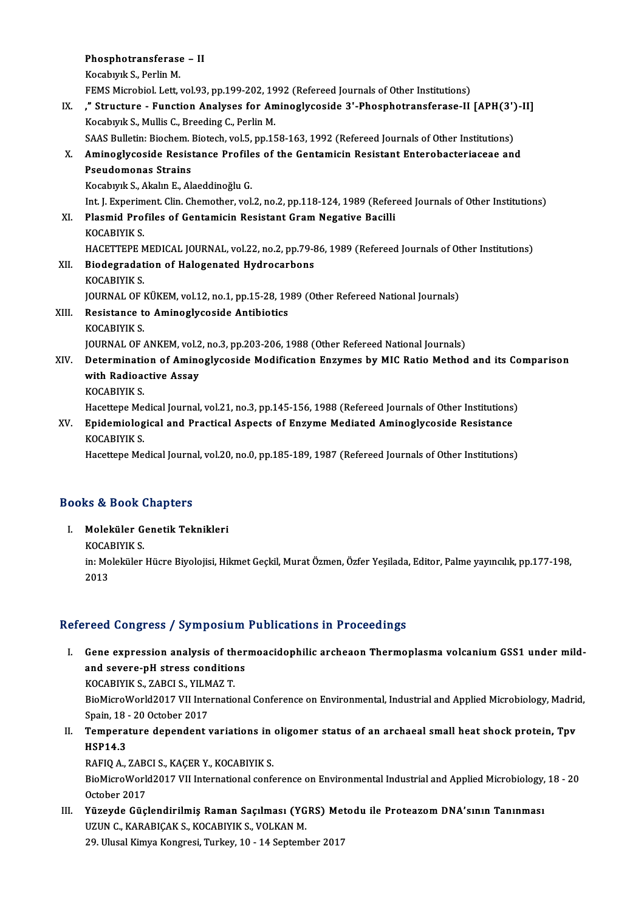Phosphotransferase – II **Phosphotransferase**<br>Kocabıyık S., Perlin M.<br>FEMS Migrebiel Lett 1 Kocabıyık S., Perlin M.<br>FEMS Microbiol. Lett, vol.93, pp.199-202, 1992 (Refereed Journals of Other Institutions) Kocabıyık S., Perlin M.<br>FEMS Microbiol. Lett, vol.93, pp.199-202, 1992 (Refereed Journals of Other Institutions)<br>IX. (Analyses for Aminoglycoside 3'-Phosphotransferase-II [APH(3')-II]<br>Kesphyrk S. Mullis C. Preeding C. Perl FEMS Microbiol. Lett, vol.93, pp.199-202, 19<br>," Structure - Function Analyses for An<br>Kocabıyık S., Mullis C., Breeding C., Perlin M.<br>SAAS Bullatin: Biocham Biotach vol.5, pp.15 Structure - Function Analyses for Aminoglycoside 3'-Phosphotransferase-II [APH(3'),<br>Kocabıyık S., Mullis C., Breeding C., Perlin M.<br>SAAS Bulletin: Biochem. Biotech, vol.5, pp.158-163, 1992 (Refereed Journals of Other Insti Kocabıyık S., Mullis C., Breeding C., Perlin M.<br>SAAS Bulletin: Biochem. Biotech, vol.5, pp.158-163, 1992 (Refereed Journals of Other Institutions)<br>X. Aminoglycoside Resistance Profiles of the Gentamicin Resistant Enterobac SAAS Bulletin: Biochem. I<br>Aminoglycoside Resist<br>Pseudomonas Strains<br>Kosabuul: S. Alslu F. Al Aminoglycoside Resistance Profile<br>Pseudomonas Strains<br>Kocabıyık S., Akalın E., Alaeddinoğlu G.<br>Int I. Evneriment Clin Chemether vel Pseudomonas Strains<br>Kocabıyık S., Akalın E., Alaeddinoğlu G.<br>Int. J. Experiment. Clin. Chemother, vol.2, no.2, pp.118-124, 1989 (Refereed Journals of Other Institutions)<br>Plasmid Prafiles of Contamisin Posistant Cram Nogati Kocabıyık S., Akalın E., Alaeddinoğlu G.<br>Int. J. Experiment. Clin. Chemother, vol.2, no.2, pp.118-124, 1989 (Refer<br>XI. Plasmid Profiles of Gentamicin Resistant Gram Negative Bacilli<br>KOCABIYIK S. Int. J. Experim<br><mark>Plasmid Pro</mark>:<br>KOCABIYIK S.<br>HACETTERE N HACETTEPE MEDICAL JOURNAL, vol.22, no.2, pp.79-86, 1989 (Refereed Journals of Other Institutions) KOCABIYIK S.<br>HACETTEPE MEDICAL JOURNAL, vol.22, no.2, pp.79-8<br>XII. Biodegradation of Halogenated Hydrocarbons<br>KOCABIVIK S HACETTEPE M<br>Biodegradat<br>KOCABIYIK S.<br>JOUPMAL OF J Biodegradation of Halogenated Hydrocarbons<br>KOCABIYIK S.<br>JOURNAL OF KÜKEM, vol.12, no.1, pp.15-28, 1989 (Other Refereed National Journals)<br>Resistance to Amineslyseside Antibioties KOCABIYIK S.<br>JOURNAL OF KÜKEM, vol.12, no.1, pp.15-28, 19<br>XIII. Resistance to Aminoglycoside Antibiotics<br>KOCABIYIK S. **JOURNAL OF I<br>Resistance t<br>KOCABIYIK S.<br>JOURNAL OF :** JOURNAL OF ANKEM, vol.2, no.3, pp.203-206, 1988 (Other Refereed National Journals) XIV. Determination of Aminoglycoside Modification Enzymes by MIC Ratio Method and its Comparison **JOURNAL OF ANKEM, vol.2**<br>Determination of Aminc<br>with Radioactive Assay<br>*VOCABINIV S* Determination<br>with Radioa<br>KOCABIYIK S.<br>Hassttans Ma with Radioactive Assay<br>KOCABIYIK S.<br>Hacettepe Medical Journal, vol.21, no.3, pp.145-156, 1988 (Refereed Journals of Other Institutions)<br>Enidomialogical and Practical Aspects of Engyme Mediated Aminoglycoside Posistance KOCABIYIK S.<br>Hacettepe Medical Journal, vol.21, no.3, pp.145-156, 1988 (Refereed Journals of Other Institutions)<br>XV. Epidemiological and Practical Aspects of Enzyme Mediated Aminoglycoside Resistance<br>KOCABIYIK S Hacettepe Me<br><mark>Epidemiolog</mark><br>KOCABIYIK S.<br>Hacettane Me XV. Epidemiological and Practical Aspects of Enzyme Mediated Aminoglycoside Resistance<br>KOCABIYIK S.<br>Hacettepe Medical Journal, vol.20, no.0, pp.185-189, 1987 (Refereed Journals of Other Institutions)

#### Books&Book Chapters

I. Moleküler Genetik Teknikleri ks & Beek<br>Moleküler G<br>KOCABIYIK S.<br>in:Moleküler

in: Moleküler Hücre Biyolojisi, Hikmet Geçkil, Murat Özmen, Özfer Yeşilada, Editor, Palme yayıncılık, pp.177-198,<br>2013 KOCAl<br>in: Mo<br>2013

#### Refereed Congress / Symposium Publications in Proceedings

I. Gene expression analysis of thermoacidophilic archeaon Thermoplasma volcaniumGSS1 under mild-Food dongroup<br>Gene expression analysis of ther<br>and severe-pH stress conditions<br>VOCAPIVIV S 7APCLS VILMAZT Gene expression analysis of th<br>and severe-pH stress condition<br>KOCABIYIK S., ZABCI S., YILMAZ T.<br>BioMigreWorld2017 VII Internatio and severe-pH stress conditions<br>KOCABIYIK S., ZABCI S., YILMAZ T.<br>BioMicroWorld2017 VII International Conference on Environmental, Industrial and Applied Microbiology, Madrid,<br>Spain 18, 20 October 2017

KOCABIYIK S., ZABCI S., YILM<br>BioMicroWorld2017 VII Inte<br>Spain, 18 - 20 October 2017<br>Temperature dependent r BioMicroWorld2017 VII International Conference on Environmental, Industrial and Applied Microbiology, Madri<br>Spain, 18 - 20 October 2017<br>II. Temperature dependent variations in oligomer status of an archaeal small heat shoc

Spain, 18 - 20 October 2017<br>II. Temperature dependent variations in oligomer status of an archaeal small heat shock protein, Tpv<br>HSP14.3 Temperature dependent variations in<br>HSP14.3<br>RAFIQ A., ZABCI S., KAÇER Y., KOCABIYIK S.<br>PieMisreWerld2017 VII International son*f* 

BioMicroWorld2017 VII International conference on Environmental Industrial and Applied Microbiology, 18 - 20<br>October 2017 RAFIQ A., ZABO<br>BioMicroWorle<br>October 2017<br>Vüzeyde Güel BioMicroWorld2017 VII International conference on Environmental Industrial and Applied Microbiology,<br>October 2017<br>III. Yüzeyde Güçlendirilmiş Raman Saçılması (YGRS) Metodu ile Proteazom DNA'sının Tanınması<br>IIZIIN G KARARIG

October 2017<br>Yüzeyde Güçlendirilmiş Raman Saçılması (YG<br>UZUN C., KARABIÇAK S., KOCABIYIK S., VOLKAN M.<br>29 Ulucal Kimya Kongresi Turkey 10, 14 Septemb Yüzeyde Güçlendirilmiş Raman Saçılması (YGRS) Met<br>UZUN C., KARABIÇAK S., KOCABIYIK S., VOLKAN M.<br>29. Ulusal Kimya Kongresi, Turkey, 10 - 14 September 2017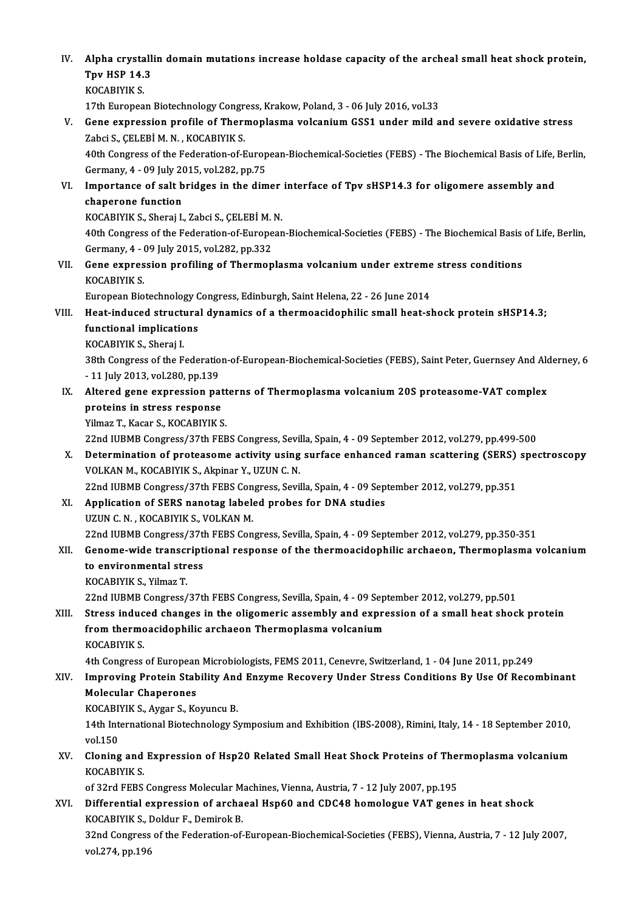IV. Alpha crystallin domain mutations increase holdase capacity of the archeal small heat shock protein,<br>Thy HSP 14.3 Alpha crystall<br>Tpv HSP 14.3<br><sup>VOCAPIVIV S</sup> Tpv HSP 14.3<br>KOCABIYIK S. Tpv HSP 14.3<br>KOCABIYIK S.<br>17th European Biotechnology Congress, Krakow, Poland, 3 - 06 July 2016, vol.33<br>Cons eur ression prefile of Thermanlasma volganium CSS1 under mild a V. Gene expression profile of Thermoplasma volcanium GSS1 under mild and severe oxidative stress<br>Zabci S., CELEBİ M. N., KOCABIYIK S. 17th European Biotechnology Congr<br>Gene expression profile of Thern<br>Zabci S., ÇELEBİM.N., KOCABIYIK S. Gene expression profile of Thermoplasma volcanium GSS1 under mild and severe oxidative stress<br>Zabci S., ÇELEBİ M. N. , KOCABIYIK S.<br>40th Congress of the Federation-of-European-Biochemical-Societies (FEBS) - The Biochemical Zabci S., ÇELEBİ M. N. , KOCABIYIK S.<br>40th Congress of the Federation-of-Europ<br>Germany, 4 - 09 July 2015, vol.282, pp.75<br>Importance of salt bridges in the dim 40th Congress of the Federation-of-European-Biochemical-Societies (FEBS) - The Biochemical Basis of Life,<br>Germany, 4 - 09 July 2015, vol.282, pp.75<br>VI. Importance of salt bridges in the dimer interface of Tpv sHSP14.3 for Germany, 4 - 09 July 20<br>Importance of salt b<br>chaperone function<br>KOCAPIVIK S. Sharai I Importance of salt bridges in the dimer<br>chaperone function<br>KOCABIYIK S., Sheraj I., Zabci S., ÇELEBİM.N.<br>40th Congress of the Esderation of European chaperone function<br>KOCABIYIK S., Sheraj I., Zabci S., ÇELEBİ M. N.<br>40th Congress of the Federation-of-European-Biochemical-Societies (FEBS) - The Biochemical Basis of Life, Berlin,<br>Germany, 4 - 09 July 2015, vol.282, pp.33 KOCABIYIK S., Sheraj I., Zabci S., CELEBİ M. N. 40th Congress of the Federation-of-European-Biochemical-Societies (FEBS) - The Biochemical Basis<br>Germany, 4 - 09 July 2015, vol.282, pp.332<br>VII. Gene expression profiling of Thermoplasma volcanium under extreme stress cond Germany, 4 - 1<br>Gene expres<br>KOCABIYIK S.<br>Europeen Bio Gene expression profiling of Thermoplasma volcanium under extreme<br>KOCABIYIK S.<br>European Biotechnology Congress, Edinburgh, Saint Helena, 22 - 26 June 2014<br>Heet indused structurel dynamics of a thermoesidenbilis small best KOCABIYIK S.<br>European Biotechnology Congress, Edinburgh, Saint Helena, 22 - 26 June 2014<br>VIII. Heat-induced structural dynamics of a thermoacidophilic small heat-shock protein sHSP14.3;<br>functional implications European Biotechnology Congress, Edinburgh, Saint Helena, 22 - 26 June 2014 KOCABIYIKS.,Sheraj I. functional implications<br>KOCABIYIK S., Sheraj I.<br>38th Congress of the Federation-of-European-Biochemical-Societies (FEBS), Saint Peter, Guernsey And Alderney, 6<br>11 July 2013, vol 380, pp.130. KOCABIYIK S., Sheraj I.<br>38th Congress of the Federatio<br>- 11 July 2013, vol.280, pp.139<br>Altared gane expression na 38th Congress of the Federation-of-European-Biochemical-Societies (FEBS), Saint Peter, Guernsey And Alchief 11<br>11 July 2013, vol.280, pp.139<br>IX. Altered gene expression patterns of Thermoplasma volcanium 20S proteasome-VAT - 11 July 2013, vol.280, pp.139<br>Altered gene expression pat<br>proteins in stress response<br><sup>Vilmog</sup> T. Keen S. KoCABIVIK S Altered gene expression patt<br>proteins in stress response<br>Yilmaz T., Kacar S., KOCABIYIK S.<br>22nd WPMP Congress (27th FFP proteins in stress response<br>Yilmaz T., Kacar S., KOCABIYIK S.<br>22nd IUBMB Congress/37th FEBS Congress, Sevilla, Spain, 4 - 09 September 2012, vol.279, pp.499-500<br>Determination of proteasome activity using surface ophaneed r Yilmaz T., Kacar S., KOCABIYIK S.<br>22nd IUBMB Congress/37th FEBS Congress, Sevilla, Spain, 4 - 09 September 2012, vol.279, pp.499-500<br>X. Determination of proteasome activity using surface enhanced raman scattering (SERS) sp 22nd IUBMB Congress/37th FEBS Congress, Sevil<br>Determination of proteasome activity using<br>VOLKAN M., KOCABIYIK S., Akpinar Y., UZUN C. N. 22nd IUBMB Congress/37th FEBS Congress, Sevilla, Spain, 4 - 09 September 2012, vol.279, pp.351<br>22nd IUBMB Congress/37th FEBS Congress, Sevilla, Spain, 4 - 09 September 2012, vol.279, pp.351 VOLKAN M., KOCABIYIK S., Akpinar Y., UZUN C. N.<br>22nd IUBMB Congress/37th FEBS Congress, Sevilla, Spain, 4 - 09 Sep<br>XI. Application of SERS nanotag labeled probes for DNA studies 22nd IUBMB Congress/37th FEBS Con<br>Application of SERS nanotag label<br>UZUN C. N., KOCABIYIK S., VOLKAN M.<br>22nd UIBMB Congress (27th EEBS Con UZUN C. N. , KOCABIYIK S., VOLKAN M.<br>22nd IUBMB Congress/37th FEBS Congress, Sevilla, Spain, 4 - 09 September 2012, vol.279, pp.350-351 UZUN C. N. , KOCABIYIK S., VOLKAN M.<br>22nd IUBMB Congress/37th FEBS Congress, Sevilla, Spain, 4 - 09 September 2012, vol.279, pp.350-351<br>XII. Genome-wide transcriptional response of the thermoacidophilic archaeon, Therm 22nd IUBMB Congress/37t<br>Genome-wide transcript<br>to environmental stress<br>KOCABIVIK S, Vilmas T Genome-wide transcr<br>to environmental str<br>KOCABIYIK S., Yilmaz T.<br>22nd UIBMB Congress ( to environmental stress<br>KOCABIYIK S., Yilmaz T.<br>22nd IUBMB Congress/37th FEBS Congress, Sevilla, Spain, 4 - 09 September 2012, vol.279, pp.501<br>Stress indused shanges in the eligemenis assembly and eunnessian of a small bes KOCABIYIK S., Yilmaz T.<br>22nd IUBMB Congress/37th FEBS Congress, Sevilla, Spain, 4 - 09 September 2012, vol.279, pp.501<br>XIII. Stress induced changes in the oligomeric assembly and expression of a small heat shock protein<br>fr 22nd IUBMB Congress/37th FEBS Congress, Sevilla, Spain, 4 - 09 Sep<br>Stress induced changes in the oligomeric assembly and expresion<br>from thermoacidophilic archaeon Thermoplasma volcanium<br>KOCAPIVIK S Stress induc<br>from thermo<br>KOCABIYIK S.<br>4th Congress from thermoacidophilic archaeon Thermoplasma volcanium<br>KOCABIYIK S.<br>4th Congress of European Microbiologists, FEMS 2011, Cenevre, Switzerland, 1 - 04 June 2011, pp.249<br>Improving Brotoin Stability And Engyme Bosovory Under KOCABIYIK S.<br>4th Congress of European Microbiologists, FEMS 2011, Cenevre, Switzerland, 1 - 04 June 2011, pp.249<br>XIV. Improving Protein Stability And Enzyme Recovery Under Stress Conditions By Use Of Recombinant<br>Melecu **4th Congress of European<br>Improving Protein Stat<br>Molecular Chaperones<br>VOCAPIVIK S. Aygar S. Kg** Improving Protein Stability And<br>Molecular Chaperones<br>KOCABIYIK S., Aygar S., Koyuncu B.<br>14th International Biatechnology S. Molecular Chaperones<br>KOCABIYIK S., Aygar S., Koyuncu B.<br>14th International Biotechnology Symposium and Exhibition (IBS-2008), Rimini, Italy, 14 - 18 September 2010,<br>vol.150 KOCABIYIK S., Aygar S., Koyuncu B. 14th International Biotechnology Symposium and Exhibition (IBS-2008), Rimini, Italy, 14 - 18 September 2010,<br>vol.150<br>XV. Cloning and Expression of Hsp20 Related Small Heat Shock Proteins of Thermoplasma volcanium vol.150<br>Cloning and<br>KOCABIYIK S.<br>of <sup>22nd EEBS</sup> Cloning and Expression of Hsp20 Related Small Heat Shock Proteins of The:<br>KOCABIYIK S.<br>of 32rd FEBS Congress Molecular Machines, Vienna, Austria, 7 - 12 July 2007, pp.195<br>Differential expression of archaeol Hapf 0 and CDC4 KOCABIYIK S.<br>of 32rd FEBS Congress Molecular Machines, Vienna, Austria, 7 - 12 July 2007, pp.195<br>XVI. Differential expression of archaeal Hsp60 and CDC48 homologue VAT genes in heat shock<br>XOCABIVIV S. Doldun E. Dominel: P of 32rd FEBS Congress Molecular M.<br>Differential expression of archa<br>KOCABIYIK S., Doldur F., Demirok B.<br><sup>22nd</sup> Congress of the Ecdenation of Differential expression of archaeal Hsp60 and CDC48 homologue VAT genes in heat shock<br>KOCABIYIK S., Doldur F., Demirok B.<br>32nd Congress of the Federation-of-European-Biochemical-Societies (FEBS), Vienna, Austria, 7 - 12 Ju KOCABIYIK S., I<br>32nd Congress<br>vol.274, pp.196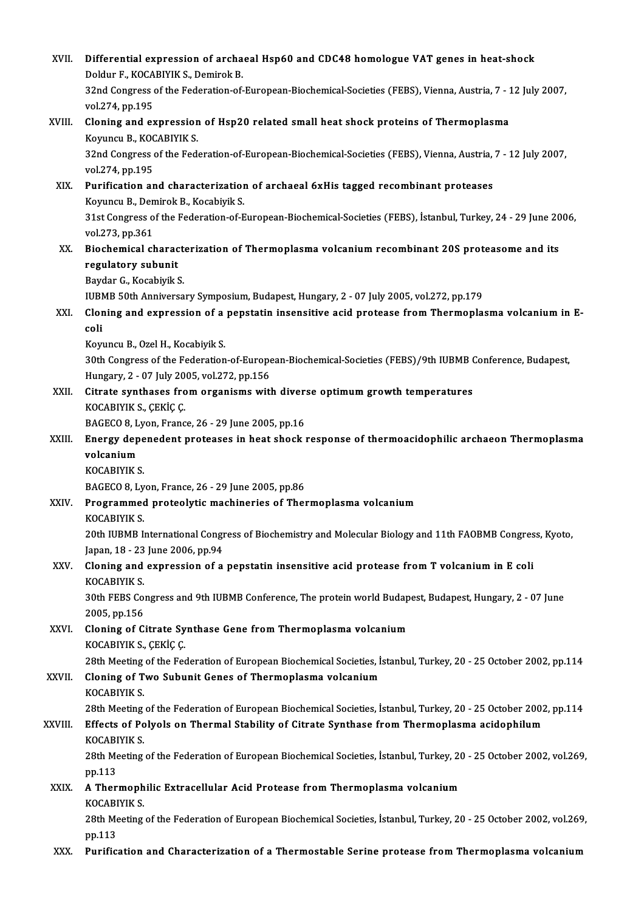| XVII.   | Differential expression of archaeal Hsp60 and CDC48 homologue VAT genes in heat-shock<br>Doldur F, KOCABIYIK S, Demirok B.                             |
|---------|--------------------------------------------------------------------------------------------------------------------------------------------------------|
|         | 32nd Congress of the Federation-of-European-Biochemical-Societies (FEBS), Vienna, Austria, 7 - 12 July 2007,<br>vol 274, pp 195                        |
| XVIII.  | Cloning and expression of Hsp20 related small heat shock proteins of Thermoplasma<br>Koyuncu B., KOCABIYIK S.                                          |
|         | 32nd Congress of the Federation-of-European-Biochemical-Societies (FEBS), Vienna, Austria, 7 - 12 July 2007,<br>vol 274, pp 195                        |
| XIX.    | Purification and characterization of archaeal 6xHis tagged recombinant proteases<br>Koyuncu B., Demirok B., Kocabiyik S.                               |
|         | 31st Congress of the Federation-of-European-Biochemical-Societies (FEBS), İstanbul, Turkey, 24 - 29 June 2006,<br>vol 273, pp 361                      |
| XX.     | Biochemical characterization of Thermoplasma volcanium recombinant 20S proteasome and its<br>regulatory subunit                                        |
|         | Baydar G., Kocabiyik S.                                                                                                                                |
|         | IUBMB 50th Anniversary Symposium, Budapest, Hungary, 2 - 07 July 2005, vol.272, pp.179                                                                 |
| XXI.    | Cloning and expression of a pepstatin insensitive acid protease from Thermoplasma volcanium in E-<br>coli                                              |
|         | Koyuncu B., Ozel H., Kocabiyik S.                                                                                                                      |
|         | 30th Congress of the Federation-of-European-Biochemical-Societies (FEBS)/9th IUBMB Conference, Budapest,<br>Hungary, 2 - 07 July 2005, vol.272, pp.156 |
| XXII.   | Citrate synthases from organisms with diverse optimum growth temperatures<br>KOCABIYIK S., ÇEKİÇ Ç.                                                    |
|         | BAGECO 8, Lyon, France, 26 - 29 June 2005, pp.16                                                                                                       |
| XXIII.  | Energy depenedent proteases in heat shock response of thermoacidophilic archaeon Thermoplasma                                                          |
|         | volcanium                                                                                                                                              |
|         | KOCABIYIK S.                                                                                                                                           |
|         | BAGECO 8, Lyon, France, 26 - 29 June 2005, pp.86                                                                                                       |
| XXIV.   | Programmed proteolytic machineries of Thermoplasma volcanium<br>KOCABIYIK S.                                                                           |
|         | 20th IUBMB International Congress of Biochemistry and Molecular Biology and 11th FAOBMB Congress, Kyoto,<br>Japan, 18 - 23 June 2006, pp 94            |
| XXV.    | Cloning and expression of a pepstatin insensitive acid protease from T volcanium in E coli<br>KOCABIYIK S.                                             |
|         | 30th FEBS Congress and 9th IUBMB Conference, The protein world Budapest, Budapest, Hungary, 2 - 07 June<br>2005, pp.156                                |
| XXVI.   | Cloning of Citrate Synthase Gene from Thermoplasma volcanium<br>KOCABIYIK S., ÇEKİÇ Ç.                                                                 |
|         | 28th Meeting of the Federation of European Biochemical Societies, İstanbul, Turkey, 20 - 25 October 2002, pp.114                                       |
| XXVII.  | Cloning of Two Subunit Genes of Thermoplasma volcanium<br>KOCABIYIK S.                                                                                 |
|         | 28th Meeting of the Federation of European Biochemical Societies, İstanbul, Turkey, 20 - 25 October 2002, pp.114                                       |
| XXVIII. | Effects of Polyols on Thermal Stability of Citrate Synthase from Thermoplasma acidophilum<br><b>KOCABIYIK S</b>                                        |
|         | 28th Meeting of the Federation of European Biochemical Societies, İstanbul, Turkey, 20 - 25 October 2002, vol.269,                                     |
| XXIX.   | pp 113<br>A Thermophilic Extracellular Acid Protease from Thermoplasma volcanium                                                                       |
|         | KOCABIYIK S.<br>28th Meeting of the Federation of European Biochemical Societies, İstanbul, Turkey, 20 - 25 October 2002, vol.269,                     |
|         | pp 113                                                                                                                                                 |
| XXX.    | Purification and Characterization of a Thermostable Serine protease from Thermoplasma volcanium                                                        |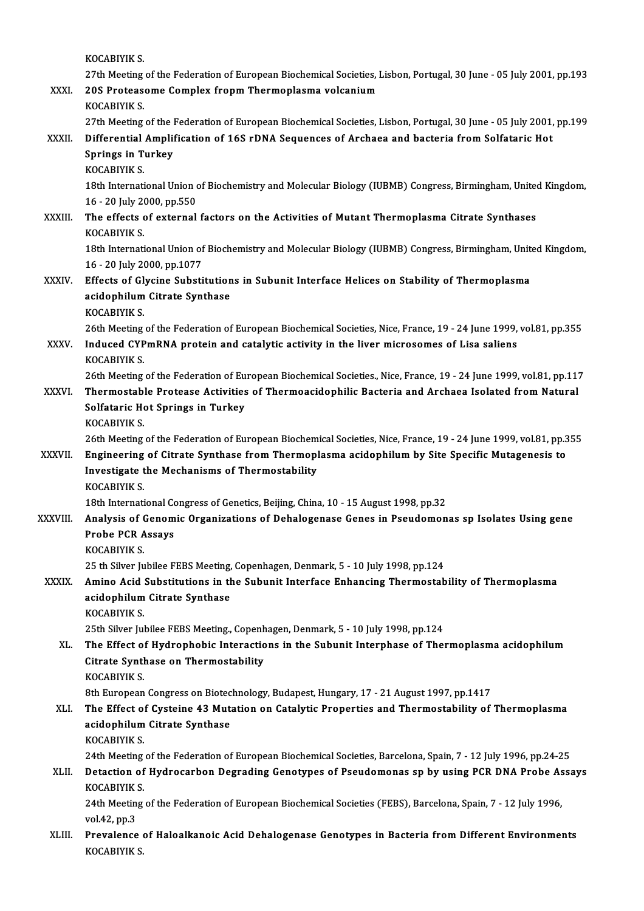|               | KOCABIYIK S.                                                                                                                                                              |
|---------------|---------------------------------------------------------------------------------------------------------------------------------------------------------------------------|
| XXXI.         | 27th Meeting of the Federation of European Biochemical Societies, Lisbon, Portugal, 30 June - 05 July 2001, pp.193<br>20S Proteasome Complex fropm Thermoplasma volcanium |
|               | KOCABIYIK S.                                                                                                                                                              |
|               | 27th Meeting of the Federation of European Biochemical Societies, Lisbon, Portugal, 30 June - 05 July 2001, pp.199                                                        |
| XXXII.        | Differential Amplification of 16S rDNA Sequences of Archaea and bacteria from Solfataric Hot                                                                              |
|               | <b>Springs in Turkey</b>                                                                                                                                                  |
|               | <b>KOCABIYIK S</b>                                                                                                                                                        |
|               | 18th International Union of Biochemistry and Molecular Biology (IUBMB) Congress, Birmingham, United Kingdom,                                                              |
|               | 16 - 20 July 2000, pp 550                                                                                                                                                 |
| XXXIII.       | The effects of external factors on the Activities of Mutant Thermoplasma Citrate Synthases<br>KOCABIYIK S.                                                                |
|               | 18th International Union of Biochemistry and Molecular Biology (IUBMB) Congress, Birmingham, United Kingdom,                                                              |
|               | 16 - 20 July 2000, pp 1077                                                                                                                                                |
| <b>XXXIV</b>  | Effects of Glycine Substitutions in Subunit Interface Helices on Stability of Thermoplasma                                                                                |
|               | acidophilum Citrate Synthase                                                                                                                                              |
|               | <b>KOCABIYIK S</b>                                                                                                                                                        |
|               | 26th Meeting of the Federation of European Biochemical Societies, Nice, France, 19 - 24 June 1999, vol.81, pp.355                                                         |
| XXXV.         | Induced CYPmRNA protein and catalytic activity in the liver microsomes of Lisa saliens                                                                                    |
|               | KOCABIYIK S                                                                                                                                                               |
|               | 26th Meeting of the Federation of European Biochemical Societies., Nice, France, 19 - 24 June 1999, vol.81, pp.117                                                        |
| XXXVI.        | Thermostable Protease Activities of Thermoacidophilic Bacteria and Archaea Isolated from Natural                                                                          |
|               | Solfataric Hot Springs in Turkey<br>KOCABIYIK S.                                                                                                                          |
|               | 26th Meeting of the Federation of European Biochemical Societies, Nice, France, 19 - 24 June 1999, vol.81, pp.355                                                         |
| <b>XXXVII</b> | Engineering of Citrate Synthase from Thermoplasma acidophilum by Site Specific Mutagenesis to                                                                             |
|               | Investigate the Mechanisms of Thermostability                                                                                                                             |
|               | <b>KOCABIYIK S</b>                                                                                                                                                        |
|               | 18th International Congress of Genetics, Beijing, China, 10 - 15 August 1998, pp 32                                                                                       |
| XXXVIII.      | Analysis of Genomic Organizations of Dehalogenase Genes in Pseudomonas sp Isolates Using gene                                                                             |
|               | <b>Probe PCR Assays</b>                                                                                                                                                   |
|               | <b>KOCABIYIK S</b>                                                                                                                                                        |
|               | 25 th Silver Jubilee FEBS Meeting, Copenhagen, Denmark, 5 - 10 July 1998, pp.124                                                                                          |
| <b>XXXIX</b>  | Amino Acid Substitutions in the Subunit Interface Enhancing Thermostability of Thermoplasma                                                                               |
|               | acidophilum Citrate Synthase                                                                                                                                              |
|               | KOCABIYIK S.<br>25th Silver Jubilee FEBS Meeting, Copenhagen, Denmark, 5 - 10 July 1998, pp.124                                                                           |
| XL.           | The Effect of Hydrophobic Interactions in the Subunit Interphase of Thermoplasma acidophilum                                                                              |
|               | Citrate Synthase on Thermostability                                                                                                                                       |
|               | <b>KOCABIYIK S.</b>                                                                                                                                                       |
|               | 8th European Congress on Biotechnology, Budapest, Hungary, 17 - 21 August 1997, pp.1417                                                                                   |
| XLI.          | The Effect of Cysteine 43 Mutation on Catalytic Properties and Thermostability of Thermoplasma                                                                            |
|               | acidophilum Citrate Synthase                                                                                                                                              |
|               | <b>KOCABIYIK S.</b>                                                                                                                                                       |
|               | 24th Meeting of the Federation of European Biochemical Societies, Barcelona, Spain, 7 - 12 July 1996, pp.24-25                                                            |
| XLII.         | Detaction of Hydrocarbon Degrading Genotypes of Pseudomonas sp by using PCR DNA Probe Assays                                                                              |
|               | <b>KOCABIYIK S</b>                                                                                                                                                        |
|               | 24th Meeting of the Federation of European Biochemical Societies (FEBS), Barcelona, Spain, 7 - 12 July 1996,                                                              |
| XLIII.        | vol 42, pp 3<br>Prevalence of Haloalkanoic Acid Dehalogenase Genotypes in Bacteria from Different Environments                                                            |
|               | KOCABIYIK S.                                                                                                                                                              |
|               |                                                                                                                                                                           |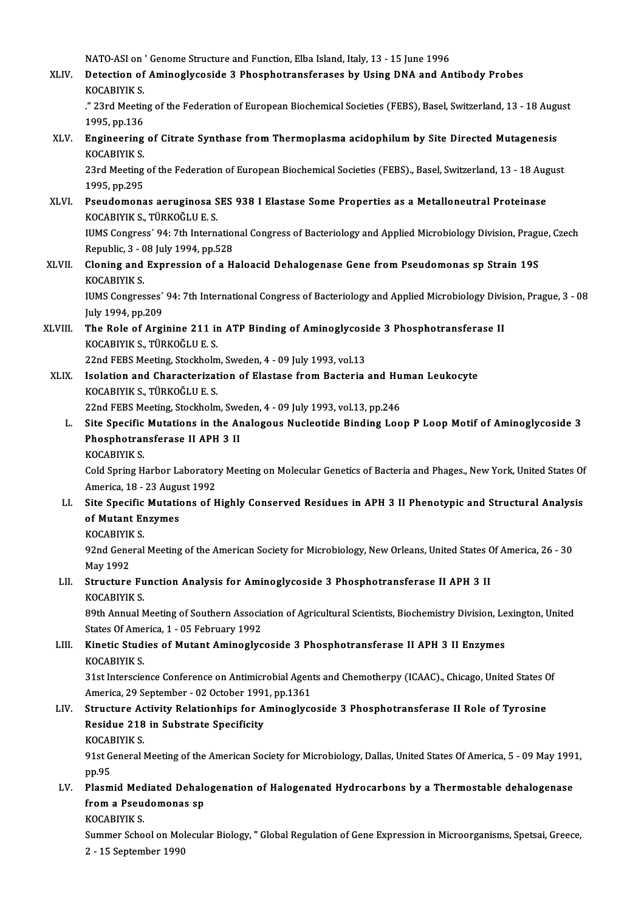NATO-ASI on ' Genome Structure and Function, Elba Island, Italy, 13 - 15 June 1996<br>Detection of Aminoglycoside 3 Phoenhotrongforeses by Heing DNA and An

XLIV. Detection of Aminoglycoside 3 Phosphotransferases by Using DNA and Antibody Probes NATO-ASI on<br>Detection of<br>KOCABIYIK S.<br>"22rd Meetin Detection of Aminoglycoside 3 Phosphotransferases by Using DNA and Antibody Probes<br>KOCABIYIK S.<br>." 23rd Meeting of the Federation of European Biochemical Societies (FEBS), Basel, Switzerland, 13 - 18 August<br>1995, pp.136

KOCABIYIK S.<br>." 23rd Meetin<br>1995, pp.136<br>Engineering XLV. Engineering of the Federation of European Biochemical Societies (FEBS), Basel, Switzerland, 13 - 18 Augu.<br>1995, pp.136<br>XLV. Engineering of Citrate Synthase from Thermoplasma acidophilum by Site Directed Mutagenesis<br>KO

1995, pp.136<br>Engineering<br>KOCABIYIK S.<br><sup>22rd</sup> Meeting Engineering of Citrate Synthase from Thermoplasma acidophilum by Site Directed Mutagenesis<br>KOCABIYIK S.<br>23rd Meeting of the Federation of European Biochemical Societies (FEBS)., Basel, Switzerland, 13 - 18 August<br>1995, pp.

KOCABIYIK S.<br>23rd Meeting of the Federation of European Biochemical Societies (FEBS)., Basel, Switzerland, 13 - 18 August<br>1995, pp.295 23rd Meeting of the Federation of European Biochemical Societies (FEBS)., Basel, Switzerland, 13 - 18 Aug<br>1995, pp.295<br>XLVI. Pseudomonas aeruginosa SES 938 I Elastase Some Properties as a Metalloneutral Proteinase<br>2006 Pro

1995, pp.295<br>Pseudomonas aeruginosa S<br>KOCABIYIK S., TÜRKOĞLU E. S.<br><sup>HIMS Congrees</sub>: 94. 7th Intern</sup> Pseudomonas aeruginosa SES 938 I Elastase Some Properties as a Metalloneutral Proteinase<br>KOCABIYIK S., TÜRKOĞLU E. S.<br>IUMS Congress´ 94: 7th International Congress of Bacteriology and Applied Microbiology Division, Prague,

KOCABIYIK S., TÜRKOĞLU E. S.<br>IUMS Congress´ 94: 7th International Congress of Bacteriology and Applied Microbiology Division, Prague, Czech<br>Republic, 3 - 08 July 1994, pp.528 IUMS Congress' 94: 7th International Congress of Bacteriology and Applied Microbiology Division, Pragu<br>Republic, 3 - 08 July 1994, pp.528<br>XLVII. Cloning and Expression of a Haloacid Dehalogenase Gene from Pseudomonas sp St

Republic, 3 - 0<br>Cloning and<br>KOCABIYIK S.<br>UMS Congres Cloning and Expression of a Haloacid Dehalogenase Gene from Pseudomonas sp Strain 19S<br>KOCABIYIK S.<br>IUMS Congresses´ 94: 7th International Congress of Bacteriology and Applied Microbiology Division, Prague, 3 - 08<br>Iuly 1994

KOCABIYIK S.<br>IUMS Congresses´ 94: 7th International Congress of Bacteriology and Applied Microbiology Division, Prague, 3 - 08<br>July 1994, pp.209 IUMS Congresses' 94: 7th International Congress of Bacteriology and Applied Microbiology Div:<br>July 1994, pp.209<br>XLVIII. The Role of Arginine 211 in ATP Binding of Aminoglycoside 3 Phosphotransferase II

July 1994, pp.209<br>The Role of Arginine 211 in<br>KOCABIYIK S., TÜRKOĞLU E. S.<br>22nd EEBS Mesting Staskhelm The Role of Arginine 211 in ATP Binding of Aminoglycosi<br>KOCABIYIK S., TÜRKOĞLU E. S.<br>22nd FEBS Meeting, Stockholm, Sweden, 4 - 09 July 1993, vol.13<br>Isalatian and Characterizatian of Flastase from Bastaria

22nd FEBS Meeting, Stockholm, Sweden, 4 - 09 July 1993, vol.13

KOCABIYIK S., TÜRKOĞLU E. S.<br>22nd FEBS Meeting, Stockholm, Sweden, 4 - 09 July 1993, vol.13<br>XLIX. Isolation and Characterization of Elastase from Bacteria and Human Leukocyte<br>KOCABIYIK S., TÜRKOĞLU E. S. Isolation and Characterization of Elastase from Bacteria and Hu<br>KOCABIYIK S., TÜRKOĞLU E. S.<br>22nd FEBS Meeting, Stockholm, Sweden, 4 - 09 July 1993, vol.13, pp.246<br>Site Specific Mutations in the Analogous Nucleotide Bindin

- KOCABIYIK S., TÜRKOĞLU E. S.<br>22nd FEBS Meeting, Stockholm, Sweden, 4 09 July 1993, vol.13, pp.246<br>L. Site Specific Mutations in the Analogous Nucleotide Binding Loop P Loop Motif of Aminoglycoside 3<br>Pheenhetransforese II 22nd FEBS Meeting, Stockholm, Sw<br>Site Specific Mutations in the A<br>Phosphotransferase II APH 3 II<br>VOCAPIVIV S Site Specific<br>Phosphotrar<br>KOCABIYIK S.<br>Cold Spring H
	-

Phosphotransferase II APH 3 II<br>KOCABIYIK S.<br>Cold Spring Harbor Laboratory Meeting on Molecular Genetics of Bacteria and Phages., New York, United States Of KOCABIYIK S.<br>Cold Spring Harbor Laborator<br>America, 18 - 23 August 1992<br>Site Specific Mutations of H Cold Spring Harbor Laboratory Meeting on Molecular Genetics of Bacteria and Phages., New York, United States Of<br>America, 18 - 23 August 1992<br>LI. Site Specific Mutations of Highly Conserved Residues in APH 3 II Phenotypic a

- America, 18 23 Augu<br>Site Specific Mutation<br>of Mutant Enzymes<br>YOCAPIVIY S Site Specific<br>of Mutant Er<br>KOCABIYIK S.<br><sup>02nd Conoral</sup>
	-

of Mutant Enzymes<br>KOCABIYIK S.<br>92nd General Meeting of the American Society for Microbiology, New Orleans, United States Of America, 26 - 30 KOCABIYIF<br>92nd Gene<br>May 1992<br>Structure 92nd General Meeting of the American Society for Microbiology, New Orleans, United States<br>May 1992<br>LII. Structure Function Analysis for Aminoglycoside 3 Phosphotransferase II APH 3 II

## May 1992<br>LII. Structure Function Analysis for Aminoglycoside 3 Phosphotransferase II APH 3 II<br>KOCABIYIK S. Structure Function Analysis for Aminoglycoside 3 Phosphotransferase II APH 3 II<br>KOCABIYIK S.<br>89th Annual Meeting of Southern Association of Agricultural Scientists, Biochemistry Division, Lexington, United<br>States Of Americ

KOCABIYIK S.<br>89th Annual Meeting of Southern Associa<br>States Of America, 1 - 05 February 1992<br>Kinetis Studies of Mutant Aminoglys 89th Annual Meeting of Southern Association of Agricultural Scientists, Biochemistry Division, Le<br>States Of America, 1 - 05 February 1992<br>LIII. Kinetic Studies of Mutant Aminoglycoside 3 Phosphotransferase II APH 3 II Enzy

# States Of Ame<br>Kinetic Studi<br>KOCABIYIK S.

KOCABIYIK S.<br>31st Interscience Conference on Antimicrobial Agents and Chemotherpy (ICAAC)., Chicago, United States Of KOCABIYIK S.<br>31st Interscience Conference on Antimicrobial Agen<br>America, 29 September - 02 October 1991, pp.1361<br>Structure Activity Pelationbins for Amineglyce 31st Interscience Conference on Antimicrobial Agents and Chemotherpy (ICAAC)., Chicago, United States C<br>America, 29 September - 02 October 1991, pp.1361<br>LIV. Structure Activity Relationhips for Aminoglycoside 3 Phosphotran

## America, 29 September - 02 October 1991<br>Structure Activity Relationhips for A<br>Residue 218 in Substrate Specificity<br>VOCAPIVIK S Structure Ac<br>Residue 218<br>KOCABIYIK S.<br>91st Ceneral l

**KOCABIYIK S** 

91stGeneral Meeting of the American Society for Microbiology, Dallas, United States Of America, 5 - 09 May 1991,<br>191st General Meeting of the American Society for Microbiology, Dallas, United States Of America, 5 - 09 May<br> 91st General Meeting of the American Society for Microbiology, Dallas, United States Of America, 5 - 09 May 199<br>pp.95<br>LV. Plasmid Mediated Dehalogenation of Halogenated Hydrocarbons by a Thermostable dehalogenase<br>from a Be

## pp.95<br>Plasmid Mediated Dehald<br>from a Pseudomonas sp<br>KOCAPIVIK S Plasmid Med<br>from a Pseu<br>KOCABIYIK S.<br>Summer Sebe

from a Pseudomonas sp<br>KOCABIYIK S.<br>Summer School on Molecular Biology, " Global Regulation of Gene Expression in Microorganisms, Spetsai, Greece, KOCABIYIK S.<br>Summer School on Mol<br>2 - 15 September 1990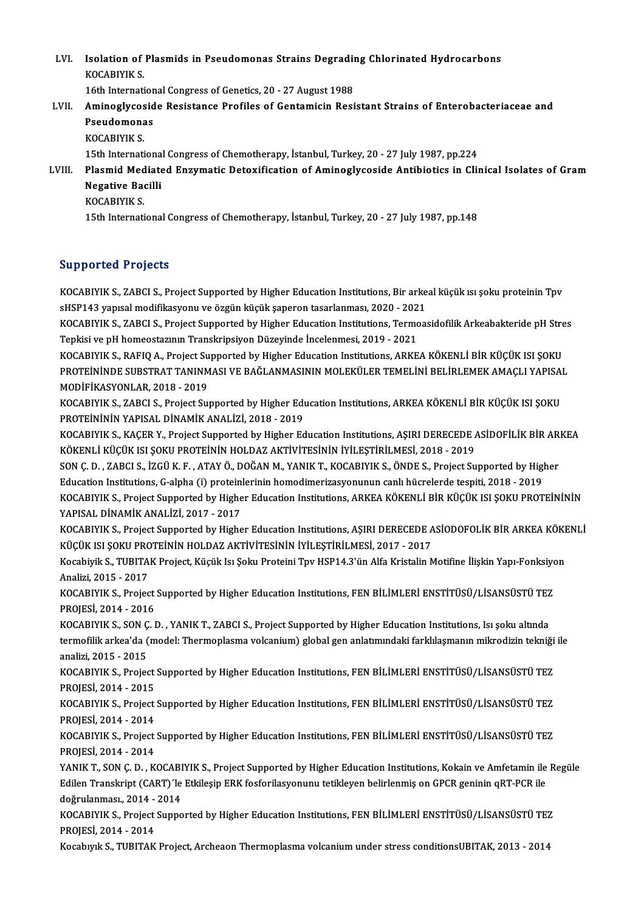LVI. Isolation of Plasmids in Pseudomonas Strains Degrading Chlorinated Hydrocarbons Isolation of<br>KOCABIYIK S.<br>16th Internati Isolation of Plasmids in Pseudomonas Strains Degradin<br>KOCABIYIK S.<br>16th International Congress of Genetics, 20 - 27 August 1988<br>Aminoglygogide Posistance Profiles of Contamisin Posi

### KOCABIYIK S.<br>16th International Congress of Genetics, 20 - 27 August 1988<br>LVII. Aminoglycoside Resistance Profiles of Gentamicin Resistant Strains of Enterobacteriaceae and<br>Resudemence 16th Internation<br>Aminoglycosid<br>Pseudomonas<br><sup>VOCAPIVIV S</sup> Aminoglycos<br>Pseudomona<br>KOCABIYIK S.<br>15th Internati Pseudomonas<br>KOCABIYIK S.<br>15th International Congress of Chemotherapy, İstanbul, Turkey, 20 - 27 July 1987, pp.224<br>Plasmid Modiated Engumatis Deterification of Aminoglycaside Antibiotiss in Clip

KOCABIYIK S.<br>15th International Congress of Chemotherapy, İstanbul, Turkey, 20 - 27 July 1987, pp.224<br>LVIII. Plasmid Mediated Enzymatic Detoxification of Aminoglycoside Antibiotics in Clinical Isolates of Gram<br>Megative 15th Internationa<br>Plasmid Mediate<br>Negative Bacilli<br><sup>VOCAPIVIV S</sup> Plasmid Med<br>Negative Ba<br>KOCABIYIK S.<br><sup>15th Internati</sub></sup> Negative Bacilli<br>KOCABIYIK S.<br>15th International Congress of Chemotherapy, İstanbul, Turkey, 20 - 27 July 1987, pp.148

#### Supported Projects

Supported Projects<br>KOCABIYIK S., ZABCI S., Project Supported by Higher Education Institutions, Bir arkeal küçük ısı şoku proteinin Tpv<br>S<sup>USD143</sup> Yanvel medifilmsyonu ve özgün küçük sansının tesrilanması 2020, 2021 supporteer in ojecte<br>KOCABIYIK S., ZABCI S., Project Supported by Higher Education Institutions, Bir arke<br>sHSP143 yapısal modifikasyonu ve özgün küçük şaperon tasarlanması, 2020 - 2021<br>KOCABIYIK S. ZABCI S. Project Support KOCABIYIK S., ZABCI S., Project Supported by Higher Education Institutions, Bir arkeal küçük ısı şoku proteinin Tpv<br>sHSP143 yapısal modifikasyonu ve özgün küçük şaperon tasarlanması, 2020 - 2021<br>KOCABIYIK S., ZABCI S., Pro

sHSP143 yapısal modifikasyonu ve özgün küçük şaperon tasarlanması, 2020 - 202<br>KOCABIYIK S., ZABCI S., Project Supported by Higher Education Institutions, Termo<br>Tepkisi ve pH homeostazının Transkripsiyon Düzeyinde İncelenme KOCABIYIK S., ZABCI S., Project Supported by Higher Education Institutions, Termoasidofilik Arkeabakteride pH Stre<br>Tepkisi ve pH homeostazının Transkripsiyon Düzeyinde İncelenmesi, 2019 - 2021<br>KOCABIYIK S., RAFIQ A., Proje

Tepkisi ve pH homeostazının Transkripsiyon Düzeyinde İncelenmesi, 2019 - 2021<br>KOCABIYIK S., RAFIQ A., Project Supported by Higher Education Institutions, ARKEA KÖKENLİ BİR KÜÇÜK ISI ŞOKU<br>PROTEİNİNDE SUBSTRAT TANINMASI VE B KOCABIYIK S., RAFIQ A., Project Supported by Higher Education Institutions, ARKEA KÖKENLİ BİR KÜÇÜK ISI ŞOKU<br>PROTEİNİNDE SUBSTRAT TANINMASI VE BAĞLANMASININ MOLEKÜLER TEMELİNİ BELİRLEMEK AMAÇLI YAPISAI<br>MODİFİKASYONLAR. 201 PROTEİNİNDE SUBSTRAT TANINMASI VE BAĞLANMASININ MOLEKÜLER TEMELİNİ BELİRLEMEK AMAÇLI YAPISAI<br>MODİFİKASYONLAR, 2018 - 2019<br>KOCABIYIK S., ZABCI S., Project Supported by Higher Education Institutions, ARKEA KÖKENLİ BİR KÜÇÜK

KOCABIYIK S., ZABCI S., Project Supported by Higher Education Institutions, ARKEA KÖKENLİ BİR KÜÇÜK ISI ŞOKU<br>PROTEİNİNİN YAPISAL DİNAMİK ANALİZİ, 2018 - 2019

KOCABIYIK S., KAÇER Y., Project Supported by Higher Education Institutions, ASIRI DERECEDE ASİDOFİLİK BİR ARKEA KÖKENLİ KÜÇÜK ISI ŞOKU PROTEİNİN HOLDAZ AKTİVİTESİNİN İYİLEŞTİRİLMESİ, 2018 - 2019 KOCABIYIK S., KAÇER Y., Project Supported by Higher Education Institutions, AŞIRI DERECEDE ASİDOFİLİK BİR AR.<br>KÖKENLİ KÜÇÜK ISI ŞOKU PROTEİNİN HOLDAZ AKTİVİTESİNİN İYİLEŞTİRİLMESİ, 2018 - 2019<br>SON Ç. D. , ZABCI S., İZGÜ K.

KÖKENLİ KÜÇÜK ISI ŞOKU PROTEİNİN HOLDAZ AKTİVİTESİNİN İYİLEŞTİRİLMESİ, 2018 - 2019<br>SON Ç. D. , ZABCI S., İZGÜ K. F. , ATAY Ö., DOĞAN M., YANIK T., KOCABIYIK S., ÖNDE S., Project Supported by Hig<br>Education Institutions, G-a SON Ç. D. , ZABCI S., İZGÜ K. F. , ATAY Ö., DOĞAN M., YANIK T., KOCABIYIK S., ÖNDE S., Project Supported by Higher<br>Education Institutions, G-alpha (i) proteinlerinin homodimerizasyonunun canlı hücrelerde tespiti, 2018 - 20 Education Institutions, G-alpha (i) proteinlerinin homodimerizasyonunun canlı hücrelerde tespiti, 2018 - 2019<br>KOCABIYIK S., Project Supported by Higher Education Institutions, ARKEA KÖKENLİ BİR KÜÇÜK ISI ŞOKU PROTEİNİNİN<br>Y KOCABIYIK S., Project Supported by Higher Education Institutions, ARKEA KÖKENLİ BİR KÜÇÜK ISI ŞOKU PROTEİNİNİN<br>YAPISAL DİNAMİK ANALİZİ, 2017 - 2017<br>KOCABIYIK S., Project Supported by Higher Education Institutions, AŞIRI DE

YAPISAL DİNAMİK ANALİZİ, 2017 - 2017<br>KOCABIYIK S., Project Supported by Higher Education Institutions, AŞIRI DERECEDE A<br>KÜÇÜK ISI ŞOKU PROTEİNİN HOLDAZ AKTİVİTESİNİN İYİLEŞTİRİLMESİ, 2017 - 2017<br>Kosabiyik S. TURITAK Projec KOCABIYIK S., Project Supported by Higher Education Institutions, AŞIRI DERECEDE ASİODOFOLİK BİR ARKEA KÖKE<br>KÜÇÜK ISI ŞOKU PROTEİNİN HOLDAZ AKTİVİTESİNİN İYİLEŞTİRİLMESİ, 2017 - 2017<br>Kocabiyik S., TUBITAK Project, Küçük Is

KÜÇÜK ISI ŞOKU PROTEİNİN HOLDAZ AKTİVİTESİNİN İYİLEŞTİRİLMESİ, 2017 - 2017<br>Kocabiyik S., TUBITAK Project, Küçük Isı Şoku Proteini Tpv HSP14.3'ün Alfa Kristalin Motifine İlişkin Yapı-Fonksiyon<br>Analizi, 2015 - 2017 Kocabiyik S., TUBITAK Project, Küçük Isı Şoku Proteini Tpv HSP14.3'ün Alfa Kristalin Motifine İlişkin Yapı-Fonksiyc<br>Analizi, 2015 - 2017<br>KOCABIYIK S., Project Supported by Higher Education Institutions, FEN BİLİMLERİ ENSTİ

Analizi, 2015 - 2017<br>KOCABIYIK S., Project<br>PROJESİ, 2014 - 2016<br>KOCABIYIK S. SON G.I KOCABIYIK S., Project Supported by Higher Education Institutions, FEN BİLİMLERİ ENSTİTÜSÜ/LİSANSÜSTÜ TEZ<br>PROJESİ, 2014 - 2016<br>KOCABIYIK S., SON Ç. D. , YANIK T., ZABCI S., Project Supported by Higher Education Institutions

PROJESİ, 2014 - 2016<br>KOCABIYIK S., SON Ç. D. , YANIK T., ZABCI S., Project Supported by Higher Education Institutions, Isı şoku altında<br>termofilik arkea'da (model: Thermoplasma volcanium) global gen anlatımındaki farklılaş KOCABIYIK S., SON Ç<br>termofilik arkea'da (<br>analizi, 2015 - 2015<br>KOCABIYIK S. Projec termofilik arkea'da (model: Thermoplasma volcanium) global gen anlatımındaki farklılaşmanın mikrodizin tekniği<br>analizi, 2015 - 2015<br>KOCABIYIK S., Project Supported by Higher Education Institutions, FEN BİLİMLERİ ENSTİTÜSÜ/

analizi, 2015 - 2015<br>KOCABIYIK S., Project<br>PROJESİ, 2014 - 2015<br>KOCABIYIK S. Project KOCABIYIK S., Project Supported by Higher Education Institutions, FEN BİLİMLERİ ENSTİTÜSÜ/LİSANSÜSTÜ TEZ<br>PROJESİ, 2014 - 2015<br>KOCABIYIK S., Project Supported by Higher Education Institutions, FEN BİLİMLERİ ENSTİTÜSÜ/LİSANS

PROJESİ, 2014 - 2015<br>KOCABIYIK S., Project<br>PROJESİ, 2014 - 2014<br>KOCABIYIK S. Project KOCABIYIK S., Project Supported by Higher Education Institutions, FEN BİLİMLERİ ENSTİTÜSÜ/LİSANSÜSTÜ TEZ<br>PROJESİ, 2014 - 2014<br>KOCABIYIK S., Project Supported by Higher Education Institutions, FEN BİLİMLERİ ENSTİTÜSÜ/LİSANS

PROJESİ, 2014 - 2014<br>KOCABIYIK S., Project Supported by Higher Education Institutions, FEN BİLİMLERİ ENSTİTÜSÜ/LİSANSÜSTÜ TEZ<br>PROJESİ, 2014 - 2014 KOCABIYIK S., Project Supported by Higher Education Institutions, FEN BİLİMLERİ ENSTİTÜSÜ/LİSANSÜSTÜ TEZ<br>PROJESİ, 2014 - 2014<br>YANIK T., SON Ç. D. , KOCABIYIK S., Project Supported by Higher Education Institutions, Kokain v

PROJESİ, 2014 - 2014<br>YANIK T., SON Ç. D. , KOCABIYIK S., Project Supported by Higher Education Institutions, Kokain ve Amfetamin ile<br>Edilen Transkript (CART)´le Etkileşip ERK fosforilasyonunu tetikleyen belirlenmiş on GPCR YANIK T., SON Ç. D. , KOCABI<br>Edilen Transkript (CART)´le<br>doğrulanması., 2014 - 2014<br>KOCABIVIK S. Breiset Sunne Edilen Transkript (CART)´le Etkileşip ERK fosforilasyonunu tetikleyen belirlenmiş on GPCR geninin qRT-PCR ile<br>doğrulanması., 2014 - 2014<br>KOCABIYIK S., Project Supported by Higher Education Institutions, FEN BİLİMLERİ ENSTİ

doğrulanması., 2014 -<br>KOCABIYIK S., Project<br>PROJESİ, 2014 - 2014<br>Kosaburlu S., TUBITAK KOCABIYIK S., Project Supported by Higher Education Institutions, FEN BİLİMLERİ ENSTİTÜSÜ/LİSANSÜSTÜ TEZ<br>PROJESİ, 2014 - 2014<br>Kocabıyık S., TUBITAK Project, Archeaon Thermoplasma volcanium under stress conditionsUBITAK, 20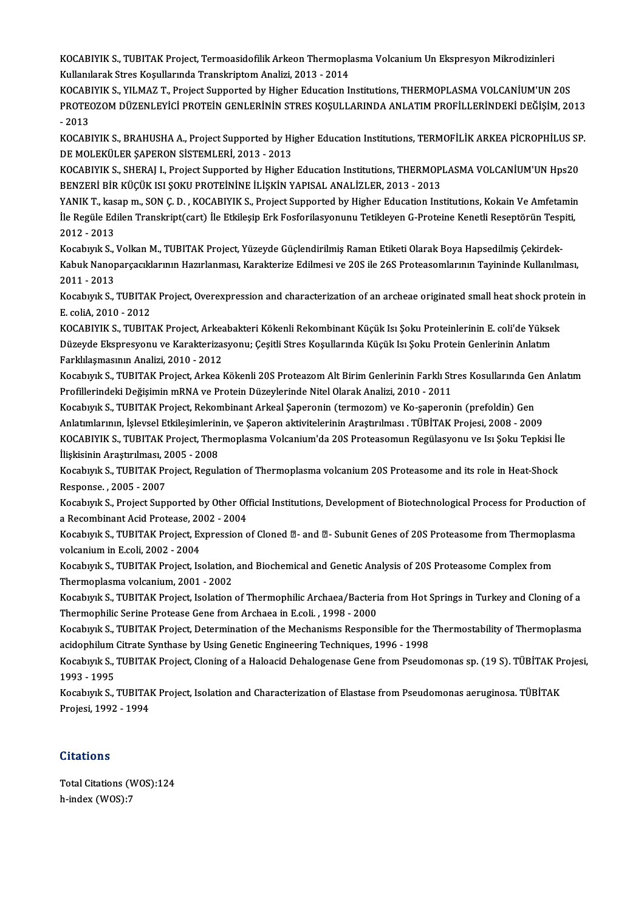KOCABIYIK S., TUBITAK Project, Termoasidofilik Arkeon Thermoplasma Volcanium Un Ekspresyon Mikrodizinleri<br>Kullanilarek Stres Kosullarında Translmintem Analizi, 2012, 2014 KOCABIYIK S., TUBITAK Project, Termoasidofilik Arkeon Thermopla<br>Kullanılarak Stres Koşullarında Transkriptom Analizi, 2013 - 2014<br>KOCABIYIK S. XII MAZ T. Project Supported by Higher Education I. KOCABIYIK S., TUBITAK Project, Termoasidofilik Arkeon Thermoplasma Volcanium Un Ekspresyon Mikrodizinleri<br>Kullanılarak Stres Koşullarında Transkriptom Analizi, 2013 - 2014<br>KOCABIYIK S., YILMAZ T., Project Supported by High

Kullanılarak Stres Koşullarında Transkriptom Analizi, 2013 - 2014<br>KOCABIYIK S., YILMAZ T., Project Supported by Higher Education Institutions, THERMOPLASMA VOLCANİUM'UN 20S<br>PROTEOZOM DÜZENLEYİCİ PROTEİN GENLERİNİN STRES KO KOCABIYIK S., YILMAZ T., Project Supported by Higher Education Institutions, THERMOPLASMA VOLCANIUM'UN 20S PROTEOZOM DÜZENLEYİCİ PROTEİN GENLERİNİN STRES KOŞULLARINDA ANLATIM PROFİLLERİNDEKİ DEĞİŞİM, 2013<br>- 2013<br>KOCABIYIK S., BRAHUSHA A., Project Supported by Higher Education Institutions, TERMOFİLİK ARKEA PİCROPHİLUS SP<br>DE MOL

- 2013<br>KOCABIYIK S., BRAHUSHA A., Project Supported by Hi<br>DE MOLEKÜLER ŞAPERON SİSTEMLERİ, 2013 - 2013<br>KOCARIYIK S. SHERALL Project Supported by Hitber KOCABIYIK S., BRAHUSHA A., Project Supported by Higher Education Institutions, TERMOFİLİK ARKEA PİCROPHİLUS SF<br>DE MOLEKÜLER ŞAPERON SİSTEMLERİ, 2013 - 2013<br>KOCABIYIK S., SHERAJ I., Project Supported by Higher Education Ins

DE MOLEKÜLER ŞAPERON SİSTEMLERİ, 2013 - 2013<br>KOCABIYIK S., SHERAJ I., Project Supported by Higher Education Institutions, THERMOPLASMA VOLCANİUM'UN Hps20<br>BENZERİ BİR KÜCÜK ISI SOKU PROTEİNİNE İLİSKİN YAPISAL ANALİZLER, 201 KOCABIYIK S., SHERAJ I., Project Supported by Higher Education Institutions, THERMOPLASMA VOLCANİUM'UN Hps20<br>BENZERİ BİR KÜÇÜK ISI ŞOKU PROTEİNİNE İLİŞKİN YAPISAL ANALİZLER, 2013 - 2013<br>YANIK T., kasap m., SON Ç. D. , KOCA

BENZERİ BİR KÜÇÜK ISI ŞOKU PROTEİNİNE İLİŞKİN YAPISAL ANALİZLER, 2013 - 2013<br>YANIK T., kasap m., SON Ç. D. , KOCABIYIK S., Project Supported by Higher Education Institutions, Kokain Ve Amfetamin<br>İle Regüle Edilen Transkrip YANIK T., kas<br>İle Regüle Ed<br>2012 - 2013<br>Kasaburk S İle Regüle Edilen Transkript(cart) İle Etkileşip Erk Fosforilasyonunu Tetikleyen G-Proteine Kenetli Reseptörün Tespiti,<br>2012 - 2013<br>Kocabıyık S., Volkan M., TUBITAK Project, Yüzeyde Güçlendirilmiş Raman Etiketi Olarak Boya

2012 - 2013<br>Kocabıyık S., Volkan M., TUBITAK Project, Yüzeyde Güçlendirilmiş Raman Etiketi Olarak Boya Hapsedilmiş Çekirdek<br>Kabuk Nanoparçacıklarının Hazırlanması, Karakterize Edilmesi ve 20S ile 26S Proteasomlarının Tayin Kocabıyık S., `<br>Kabuk Nanop<br>2011 - 2013<br>Kosaburk S Kabuk Nanoparçacıklarının Hazırlanması, Karakterize Edilmesi ve 20S ile 26S Proteasomlarının Tayininde Kullanılması,<br>2011 - 2013<br>Kocabıyık S., TUBITAK Project, Overexpression and characterization of an archeae originated s

2011 - 2013<br>Kocabiyik S., TUBITAF<br>E. coliA, 2010 - 2012<br>*VOCABINIK S. TUBIT* Kocabıyık S., TUBITAK Project, Overexpression and characterization of an archeae originated small heat shock prot<br>E. coliA, 2010 - 2012<br>KOCABIYIK S., TUBITAK Project, Arkeabakteri Kökenli Rekombinant Küçük Isı Şoku Protein

E. coliA, 2010 - 2012<br>KOCABIYIK S., TUBITAK Project, Arkeabakteri Kökenli Rekombinant Küçük Isı Şoku Proteinlerinin E. coli'de Yükse<br>Düzeyde Ekspresyonu ve Karakterizasyonu; Çeşitli Stres Koşullarında Küçük Isı Şoku Protei KOCABIYIK S., TUBITAK Project, Arkea<br>Düzeyde Ekspresyonu ve Karakteriza:<br>Farklılaşmasının Analizi, 2010 - 2012<br>Kasaburlı S. TUBITAK Project, Arkea l Düzeyde Ekspresyonu ve Karakterizasyonu; Çeşitli Stres Koşullarında Küçük Isı Şoku Protein Genlerinin Anlatım<br>Farklılaşmasının Analizi, 2010 - 2012<br>Kocabıyık S., TUBITAK Project, Arkea Kökenli 20S Proteazom Alt Birim Genle

Farklılaşmasının Analizi, 2010 - 2012<br>Kocabıyık S., TUBITAK Project, Arkea Kökenli 20S Proteazom Alt Birim Genlerinin Farklı Stres Kosullarında Gen Anlatım<br>Profillerindeki Değişimin mRNA ve Protein Düzeylerinde Nitel Olara Kocabıyık S., TUBITAK Project, Arkea Kökenli 20S Proteazom Alt Birim Genlerinin Farklı Stres Kosullarında Ge<br>Profillerindeki Değişimin mRNA ve Protein Düzeylerinde Nitel Olarak Analizi, 2010 - 2011<br>Kocabıyık S., TUBITAK Pr

Profillerindeki Değişimin mRNA ve Protein Düzeylerinde Nitel Olarak Analizi, 2010 - 2011<br>Kocabıyık S., TUBITAK Project, Rekombinant Arkeal Şaperonin (termozom) ve Ko-şaperonin (prefoldin) Gen<br>Anlatımlarının, İşlevsel Etkil Kocabıyık S., TUBITAK Project, Rekombinant Arkeal Şaperonin (termozom) ve Ko-şaperonin (prefoldin) Gen<br>Anlatımlarının, İşlevsel Etkileşimlerinin, ve Şaperon aktivitelerinin Araştırılması . TÜBİTAK Projesi, 2008 - 2009<br>KOCA Anlatımlarının, İşlevsel Etkileşimlerinin, ve Şaperon aktivitelerinin Araştırılması . TÜBİTAK Projesi, 2008 - 2009<br>KOCABIYIK S., TUBITAK Project, Thermoplasma Volcanium'da 20S Proteasomun Regülasyonu ve Isı Şoku Tepkisi İl İlişkisinin Araştırılması, 2005 - 2008

KOCABIYIK S., TUBITAK Project, Thermoplasma Volcanium'da 20S Proteasomun Regülasyonu ve Isı Şoku Tepkisi İle<br>İlişkisinin Araştırılması, 2005 - 2008<br>Kocabıyık S., TUBITAK Project, Regulation of Thermoplasma volcanium 20S Pr Kocabıyık S., TUBITAK Project, Regulation of Thermoplasma volcanium 20S Proteasome and its role in Heat-Shock<br>Response. , 2005 - 2007<br>Kocabıyık S., Project Supported by Other Official Institutions, Development of Biotechno

Response. , 2005 - 2007<br>Kocabıyık S., Project Supported by Other Of<br>a Recombinant Acid Protease, 2002 - 2004<br>Kosabuul: S. TURITAK Project, Eunression a Kocabıyık S., Project Supported by Other Official Institutions, Development of Biotechnological Process for Production (<br>a Recombinant Acid Protease, 2002 - 2004<br>Kocabıyık S., TUBITAK Project, Expression of Cloned ⊠- and ⊠

a Recombinant Acid Protease, 2002 - 2004<br>Kocabıyık S., TUBITAK Project, Expression o<br>volcanium in E.coli, 2002 - 2004 Kocabıyık S., TUBITAK Project, Expression of Cloned 21- and 21- Subunit Genes of 20S Proteasome from Thermoplasma<br>volcanium in E.coli, 2002 - 2004<br>Kocabıyık S., TUBITAK Project, Isolation, and Biochemical and Genetic Analy

Kocabıyık S., TUBITAK Project, Isolation, and Biochemical and Genetic Analysis of 20S Proteasome Complex from Kocabıyık S., TUBITAK Project, Isolation, and Biochemical and Genetic Analysis of 20S Proteasome Complex from<br>Thermoplasma volcanium, 2001 - 2002<br>Kocabıyık S., TUBITAK Project, Isolation of Thermophilic Archaea/Bacteria fr

Thermoplasma volcanium, 2001 - 2002<br>Kocabıyık S., TUBITAK Project, Isolation of Thermophilic Archaea/Bacteri<br>Thermophilic Serine Protease Gene from Archaea in E.coli. , 1998 - 2000<br>Kosaburli S., TUBITAK Project, Determinat Thermophilic Serine Protease Gene from Archaea in E.coli. , 1998 - 2000<br>Kocabıyık S., TUBITAK Project, Determination of the Mechanisms Responsible for the Thermostability of Thermoplasma

Thermophilic Serine Protease Gene from Archaea in E.coli. , 1998 - 2000<br>Kocabıyık S., TUBITAK Project, Determination of the Mechanisms Responsible for the<br>acidophilum Citrate Synthase by Using Genetic Engineering Technique

Kocabıyık S., TUBITAK Project, Cloning of a Haloacid Dehalogenase Gene from Pseudomonas sp. (19 S). TÜBİTAK Projesi,<br>1993 - 1995 acidophilum<br>Kocabıyık S.,<br>1993 - 1995<br>Kocaburlı S Kocabıyık S., TUBITAK Project, Cloning of a Haloacid Dehalogenase Gene from Pseudomonas sp. (19 S). TÜBİTAK Pı<br>1993 - 1995<br>Kocabıyık S., TUBITAK Project, Isolation and Characterization of Elastase from Pseudomonas aerugino

1993 - 1995<br>Kocabıyık S., TUBITAI<br>Projesi, 1992 - 1994 Projesi, 1992 - 1994<br>Citations

Total Citations (WOS):124 h-index (WOS):7